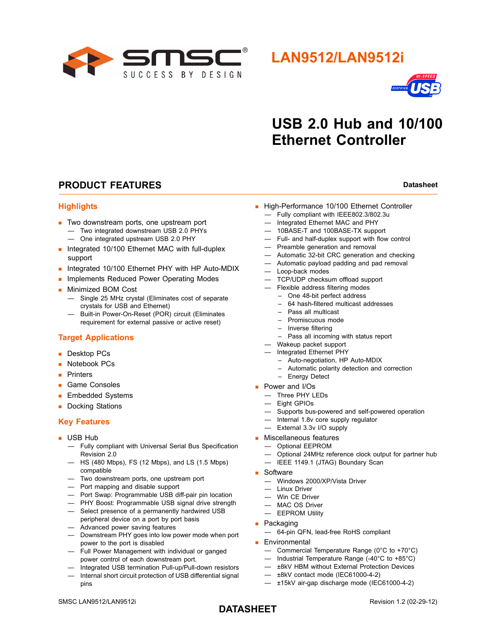

# **LAN9512/LAN9512i**



# **USB 2.0 Hub and 10/100 Ethernet Controller**

## **PRODUCT FEATURES Datasheet Datasheet Datasheet**

#### **Highlights**

- **Two downstream ports, one upstream port** 
	- Two integrated downstream USB 2.0 PHYs
	- One integrated upstream USB 2.0 PHY
- **Integrated 10/100 Ethernet MAC with full-duplex** support
- Integrated 10/100 Ethernet PHY with HP Auto-MDIX
- **Implements Reduced Power Operating Modes**
- **Minimized BOM Cost** 
	- Single 25 MHz crystal (Eliminates cost of separate crystals for USB and Ethernet)
	- Built-in Power-On-Reset (POR) circuit (Eliminates requirement for external passive or active reset)

#### **Target Applications**

- Desktop PCs
- **Notebook PCs**
- **Printers**
- Game Consoles
- **Embedded Systems**
- Docking Stations

#### **Key Features**

- **USB Hub** 
	- Fully compliant with Universal Serial Bus Specification Revision 2.0
	- HS (480 Mbps), FS (12 Mbps), and LS (1.5 Mbps) compatible
	- Two downstream ports, one upstream port
	- Port mapping and disable support
	- Port Swap: Programmable USB diff-pair pin location
	- PHY Boost: Programmable USB signal drive strength
	- Select presence of a permanently hardwired USB peripheral device on a port by port basis
	- Advanced power saving features
	- Downstream PHY goes into low power mode when port power to the port is disabled
	- Full Power Management with individual or ganged power control of each downstream port.
	- Integrated USB termination Pull-up/Pull-down resistors — Internal short circuit protection of USB differential signal pins
- High-Performance 10/100 Ethernet Controller
	- Fully compliant with IEEE802.3/802.3u
	- Integrated Ethernet MAC and PHY
	- 10BASE-T and 100BASE-TX support
	- Full- and half-duplex support with flow control
	- Preamble generation and removal
	- Automatic 32-bit CRC generation and checking
	- Automatic payload padding and pad removal
	- Loop-back modes
	- TCP/UDP checksum offload support
	- Flexible address filtering modes
		- One 48-bit perfect address
		- 64 hash-filtered multicast addresses
		- Pass all multicast
		- Promiscuous mode
		- Inverse filtering
		- Pass all incoming with status report
	- Wakeup packet support
	- Integrated Ethernet PHY
		- Auto-negotiation, HP Auto-MDIX
		- Automatic polarity detection and correction
	- Energy Detect
- **Power and I/Os** 
	- Three PHY LEDs
	- Eight GPIOs
	- Supports bus-powered and self-powered operation
	- Internal 1.8v core supply regulator
	- External 3.3v I/O supply
- **Miscellaneous features** 
	- Optional EEPROM
	- Optional 24MHz reference clock output for partner hub
	- IEEE 1149.1 (JTAG) Boundary Scan
- Software
	- Windows 2000/XP/Vista Driver
	- Linux Driver
	- Win CE Driver
	- MAC OS Driver
	- EEPROM Utility
- **Packaging** 
	- 64-pin QFN, lead-free RoHS compliant
- **Environmental** 
	- Commercial Temperature Range (0°C to +70°C)
	- Industrial Temperature Range (-40°C to +85°C)
	- ±8kV HBM without External Protection Devices
	- ±8kV contact mode (IEC61000-4-2)
	- ±15kV air-gap discharge mode (IEC61000-4-2)

## **DATASHEET**

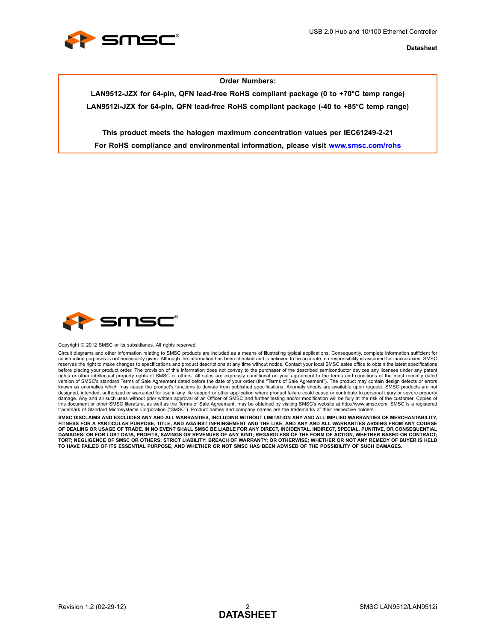

#### **Order Numbers:**

**LAN9512-JZX for 64-pin, QFN lead-free RoHS compliant package (0 to +70°C temp range) LAN9512i-JZX for 64-pin, QFN lead-free RoHS compliant package (-40 to +85°C temp range)**

**This product meets the halogen maximum concentration values per IEC61249-2-21 For RoHS compliance and environmental information, please visit www.smsc.com/rohs**



Copyright © 2012 SMSC or its subsidiaries. All rights reserved.

Circuit diagrams and other information relating to SMSC products are included as a means of illustrating typical applications. Consequently, complete information sufficient for construction purposes is not necessarily given. Although the information has been checked and is believed to be accurate, no responsibility is assumed for inaccuracies. SMSC reserves the right to make changes to specifications and product descriptions at any time without notice. Contact your local SMSC sales office to obtain the latest specifications<br>before placing your product order. The prov version of SMSC's standard Terms of Sale Agreement dated before the date of your order (the "Terms of Sale Agreement"). The product may contain design defects or errors known as anomalies which may cause the product's functions to deviate from published specifications. Anomaly sheets are available upon request. SMSC products are not designed, intended, authorized or warranted for use in any life support or other application where product failure could cause or contribute to personal injury or severe property<br>damage. Any and all such uses without prior this document or other SMSC literature, as well as the Terms of Sale Agreement, may be obtained by visiting SMSC's website at http://www.smsc.com. SMSC is a registered trademark of Standard Microsystems Corporation ("SMSC"). Product names and company names are the trademarks of their respective holders.

**SMSC DISCLAIMS AND EXCLUDES ANY AND ALL WARRANTIES, INCLUDING WITHOUT LIMITATION ANY AND ALL IMPLIED WARRANTIES OF MERCHANTABILITY, FITNESS FOR A PARTICULAR PURPOSE, TITLE, AND AGAINST INFRINGEMENT AND THE LIKE, AND ANY AND ALL WARRANTIES ARISING FROM ANY COURSE** OF DEALING OR USAGE OF TRADE. IN NO EVENT SHALL SMSC BE LIABLE FOR ANY DIRECT, INCIDENTAL, INDIRECT, SPECIAL, PUNITIVE, OR CONSEQUENTIAL<br>DAMAGES; OR FOR LOST DATA, PROFITS, SAVINGS OR REVENUES OF ANY KIND; REGARDLESS OF TH **TORT; NEGLIGENCE OF SMSC OR OTHERS; STRICT LIABILITY; BREACH OF WARRANTY; OR OTHERWISE; WHETHER OR NOT ANY REMEDY OF BUYER IS HELD TO HAVE FAILED OF ITS ESSENTIAL PURPOSE, AND WHETHER OR NOT SMSC HAS BEEN ADVISED OF THE POSSIBILITY OF SUCH DAMAGES.**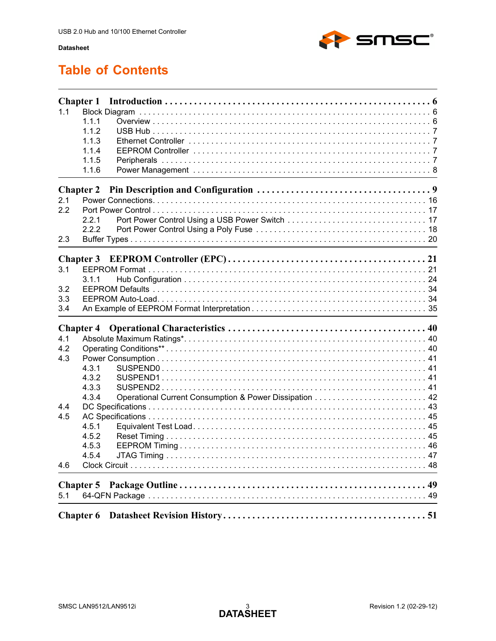

# **Table of Contents**

| 1.1 | <b>Chapter 1</b><br>1.1.1<br>1.1.2<br>1.1.3<br>1.1.4<br>1.1.5<br>1.1.6 |  |
|-----|------------------------------------------------------------------------|--|
|     | <b>Chapter 2</b>                                                       |  |
| 2.1 |                                                                        |  |
| 2.2 |                                                                        |  |
|     | 2.2.1                                                                  |  |
|     | 2.2.2                                                                  |  |
| 2.3 |                                                                        |  |
|     | <b>Chapter 3</b>                                                       |  |
| 3.1 |                                                                        |  |
|     | 3.1.1                                                                  |  |
| 3.2 |                                                                        |  |
| 3.3 |                                                                        |  |
| 3.4 |                                                                        |  |
|     | <b>Chapter 4</b>                                                       |  |
| 4.1 |                                                                        |  |
| 4.2 |                                                                        |  |
| 4.3 |                                                                        |  |
|     | 4.3.1                                                                  |  |
|     | 4.3.2                                                                  |  |
|     | 4.3.3                                                                  |  |
|     | 4.3.4                                                                  |  |
| 4.4 |                                                                        |  |
| 4.5 |                                                                        |  |
|     | 4.5.1                                                                  |  |
|     | 4.5.2                                                                  |  |
|     | 4.5.3                                                                  |  |
|     | 4.5.4                                                                  |  |
| 4.6 |                                                                        |  |
|     |                                                                        |  |
| 5.1 |                                                                        |  |
|     |                                                                        |  |
|     | <b>Chapter 6</b>                                                       |  |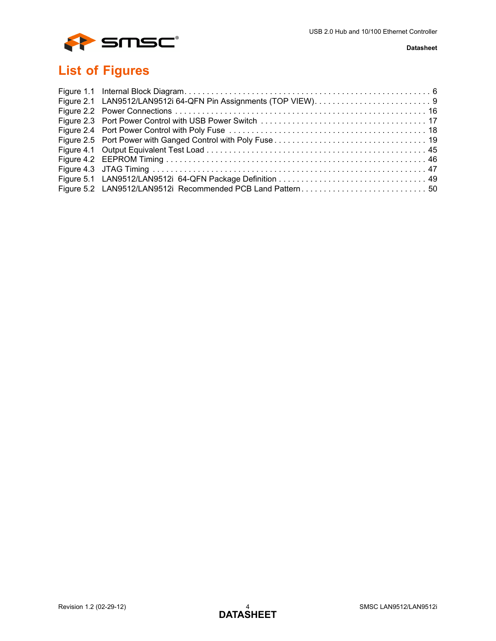

# **List of Figures**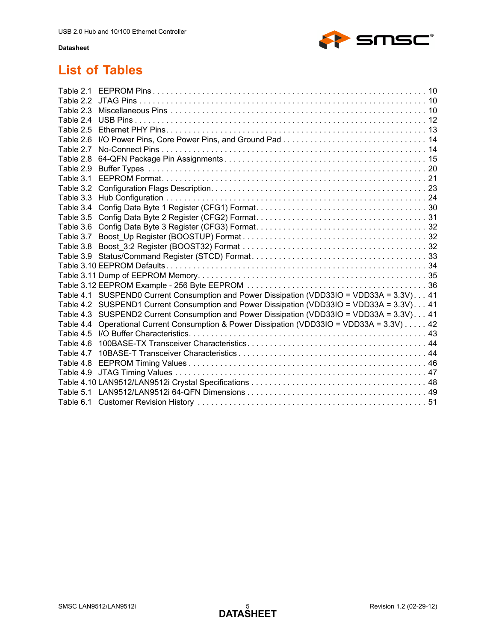

# **List of Tables**

| Table 2.1 |                                                                                           |  |
|-----------|-------------------------------------------------------------------------------------------|--|
|           |                                                                                           |  |
|           |                                                                                           |  |
|           |                                                                                           |  |
| Table 2.5 |                                                                                           |  |
| Table 2.6 |                                                                                           |  |
| Table 2.7 |                                                                                           |  |
| Table 2.8 |                                                                                           |  |
| Table 2.9 |                                                                                           |  |
| Table 3.1 |                                                                                           |  |
| Table 3.2 |                                                                                           |  |
| Table 3.3 |                                                                                           |  |
| Table 3.4 |                                                                                           |  |
| Table 3.5 |                                                                                           |  |
| Table 3.6 |                                                                                           |  |
| Table 3.7 |                                                                                           |  |
| Table 3.8 |                                                                                           |  |
|           |                                                                                           |  |
|           |                                                                                           |  |
|           |                                                                                           |  |
|           |                                                                                           |  |
|           | Table 4.1 SUSPEND0 Current Consumption and Power Dissipation (VDD33IO = VDD33A = 3.3V) 41 |  |
|           | Table 4.2 SUSPEND1 Current Consumption and Power Dissipation (VDD33IO = VDD33A = 3.3V) 41 |  |
|           | Table 4.3 SUSPEND2 Current Consumption and Power Dissipation (VDD33IO = VDD33A = 3.3V) 41 |  |
| Table 4.4 | Operational Current Consumption & Power Dissipation (VDD33IO = VDD33A = 3.3V) 42          |  |
| Table 4.5 |                                                                                           |  |
| Table 4.6 |                                                                                           |  |
| Table 4.7 |                                                                                           |  |
| Table 4.8 |                                                                                           |  |
| Table 4.9 |                                                                                           |  |
|           |                                                                                           |  |
|           |                                                                                           |  |
|           |                                                                                           |  |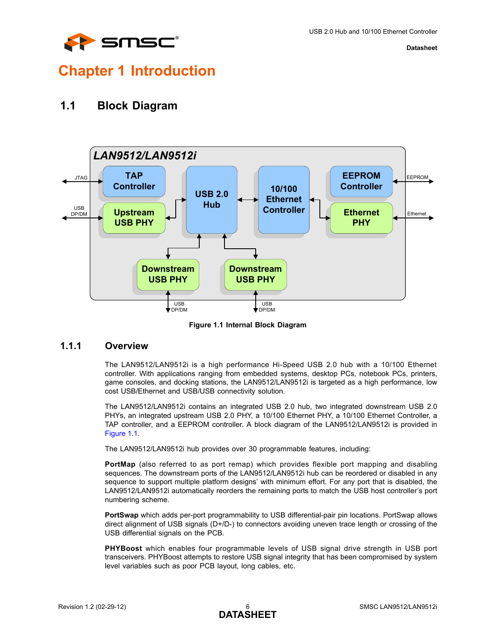

# <span id="page-5-0"></span>**Chapter 1 Introduction**

## <span id="page-5-1"></span>**1.1 Block Diagram**



**Figure 1.1 Internal Block Diagram**

## <span id="page-5-3"></span><span id="page-5-2"></span>**1.1.1 Overview**

The LAN9512/LAN9512i is a high performance Hi-Speed USB 2.0 hub with a 10/100 Ethernet controller. With applications ranging from embedded systems, desktop PCs, notebook PCs, printers, game consoles, and docking stations, the LAN9512/LAN9512i is targeted as a high performance, low cost USB/Ethernet and USB/USB connectivity solution.

The LAN9512/LAN9512i contains an integrated USB 2.0 hub, two integrated downstream USB 2.0 PHYs, an integrated upstream USB 2.0 PHY, a 10/100 Ethernet PHY, a 10/100 Ethernet Controller, a TAP controller, and a EEPROM controller. A block diagram of the LAN9512/LAN9512i is provided in [Figure 1.1](#page-5-3).

The LAN9512/LAN9512i hub provides over 30 programmable features, including:

**PortMap** (also referred to as port remap) which provides flexible port mapping and disabling sequences. The downstream ports of the LAN9512/LAN9512i hub can be reordered or disabled in any sequence to support multiple platform designs' with minimum effort. For any port that is disabled, the LAN9512/LAN9512i automatically reorders the remaining ports to match the USB host controller's port numbering scheme.

**PortSwap** which adds per-port programmability to USB differential-pair pin locations. PortSwap allows direct alignment of USB signals (D+/D-) to connectors avoiding uneven trace length or crossing of the USB differential signals on the PCB.

**PHYBoost** which enables four programmable levels of USB signal drive strength in USB port transceivers. PHYBoost attempts to restore USB signal integrity that has been compromised by system level variables such as poor PCB layout, long cables, etc.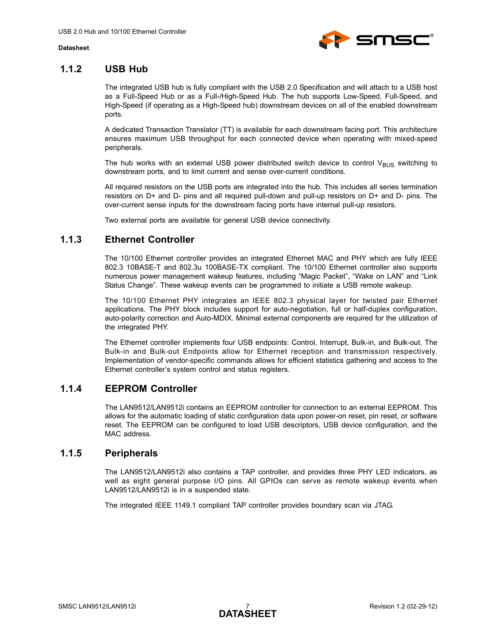

## <span id="page-6-0"></span>**1.1.2 USB Hub**

The integrated USB hub is fully compliant with the USB 2.0 Specification and will attach to a USB host as a Full-Speed Hub or as a Full-/High-Speed Hub. The hub supports Low-Speed, Full-Speed, and High-Speed (if operating as a High-Speed hub) downstream devices on all of the enabled downstream ports.

A dedicated Transaction Translator (TT) is available for each downstream facing port. This architecture ensures maximum USB throughput for each connected device when operating with mixed-speed peripherals.

The hub works with an external USB power distributed switch device to control  $V_{BUS}$  switching to downstream ports, and to limit current and sense over-current conditions.

All required resistors on the USB ports are integrated into the hub. This includes all series termination resistors on D+ and D- pins and all required pull-down and pull-up resistors on D+ and D- pins. The over-current sense inputs for the downstream facing ports have internal pull-up resistors.

Two external ports are available for general USB device connectivity.

## <span id="page-6-1"></span>**1.1.3 Ethernet Controller**

The 10/100 Ethernet controller provides an integrated Ethernet MAC and PHY which are fully IEEE 802.3 10BASE-T and 802.3u 100BASE-TX compliant. The 10/100 Ethernet controller also supports numerous power management wakeup features, including "Magic Packet", "Wake on LAN" and "Link Status Change". These wakeup events can be programmed to initiate a USB remote wakeup.

The 10/100 Ethernet PHY integrates an IEEE 802.3 physical layer for twisted pair Ethernet applications. The PHY block includes support for auto-negotiation, full or half-duplex configuration, auto-polarity correction and Auto-MDIX. Minimal external components are required for the utilization of the integrated PHY.

The Ethernet controller implements four USB endpoints: Control, Interrupt, Bulk-in, and Bulk-out. The Bulk-in and Bulk-out Endpoints allow for Ethernet reception and transmission respectively. Implementation of vendor-specific commands allows for efficient statistics gathering and access to the Ethernet controller's system control and status registers.

## <span id="page-6-2"></span>**1.1.4 EEPROM Controller**

The LAN9512/LAN9512i contains an EEPROM controller for connection to an external EEPROM. This allows for the automatic loading of static configuration data upon power-on reset, pin reset, or software reset. The EEPROM can be configured to load USB descriptors, USB device configuration, and the MAC address.

## <span id="page-6-3"></span>**1.1.5 Peripherals**

The LAN9512/LAN9512i also contains a TAP controller, and provides three PHY LED indicators, as well as eight general purpose I/O pins. All GPIOs can serve as remote wakeup events when LAN9512/LAN9512i is in a suspended state.

The integrated IEEE 1149.1 compliant TAP controller provides boundary scan via JTAG.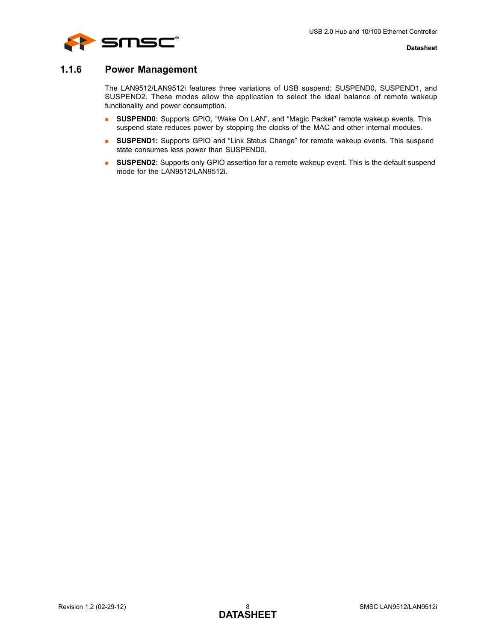

## <span id="page-7-0"></span>**1.1.6 Power Management**

The LAN9512/LAN9512i features three variations of USB suspend: SUSPEND0, SUSPEND1, and SUSPEND2. These modes allow the application to select the ideal balance of remote wakeup functionality and power consumption.

- **SUSPEND0:** Supports GPIO, "Wake On LAN", and "Magic Packet" remote wakeup events. This suspend state reduces power by stopping the clocks of the MAC and other internal modules.
- **SUSPEND1:** Supports GPIO and "Link Status Change" for remote wakeup events. This suspend state consumes less power than SUSPEND0.
- **SUSPEND2:** Supports only GPIO assertion for a remote wakeup event. This is the default suspend mode for the LAN9512/LAN9512i.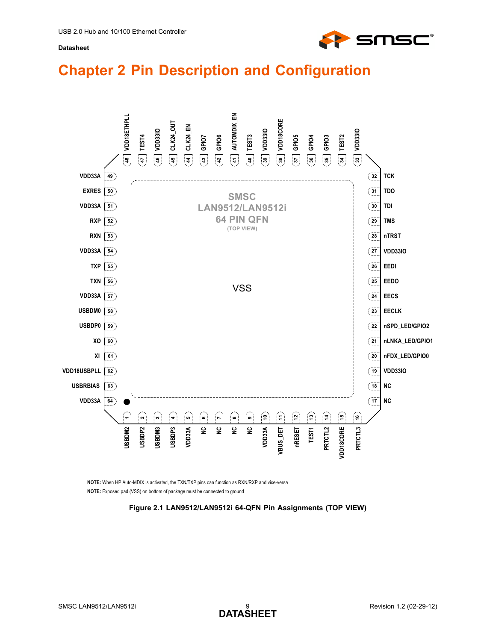

# <span id="page-8-0"></span>**Chapter 2 Pin Description and Configuration**



<span id="page-8-1"></span>**NOTE:** Exposed pad (VSS) on bottom of package must be connected to ground **NOTE:** When HP Auto-MDIX is activated, the TXN/TXP pins can function as RXN/RXP and vice-versa

**Figure 2.1 LAN9512/LAN9512i 64-QFN Pin Assignments (TOP VIEW)**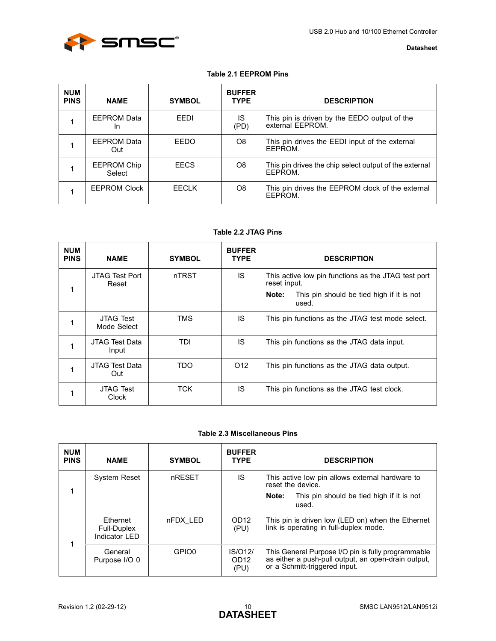

### **Table 2.1 EEPROM Pins**

<span id="page-9-0"></span>

| <b>NUM</b><br><b>PINS</b> | <b>NAME</b>                     | <b>SYMBOL</b> | <b>BUFFER</b><br><b>TYPE</b> | <b>DESCRIPTION</b>                                                |
|---------------------------|---------------------------------|---------------|------------------------------|-------------------------------------------------------------------|
|                           | <b>EEPROM Data</b><br><b>In</b> | FFDI          | IS<br>(PD)                   | This pin is driven by the EEDO output of the<br>external EEPROM.  |
|                           | EEPROM Data<br>Out              | EEDO          | O8                           | This pin drives the EEDI input of the external<br>FFPROM.         |
|                           | <b>EEPROM Chip</b><br>Select    | <b>EECS</b>   | O8                           | This pin drives the chip select output of the external<br>FFPROM. |
|                           | <b>EEPROM Clock</b>             | FFCI K        | O8                           | This pin drives the EEPROM clock of the external<br>EEPROM.       |

### **Table 2.2 JTAG Pins**

<span id="page-9-1"></span>

| <b>NUM</b><br><b>PINS</b> | <b>NAME</b>                     | <b>SYMBOL</b> | <b>BUFFER</b><br><b>TYPE</b> | <b>DESCRIPTION</b>                                                  |
|---------------------------|---------------------------------|---------------|------------------------------|---------------------------------------------------------------------|
|                           | JTAG Test Port<br>Reset         | nTRST         | IS                           | This active low pin functions as the JTAG test port<br>reset input. |
|                           |                                 |               |                              | This pin should be tied high if it is not<br>Note:<br>used.         |
|                           | <b>JTAG Test</b><br>Mode Select | TMS           | IS.                          | This pin functions as the JTAG test mode select.                    |
|                           | JTAG Test Data<br>Input         | TDI           | IS.                          | This pin functions as the JTAG data input.                          |
|                           | JTAG Test Data<br>Out           | <b>TDO</b>    | O <sub>12</sub>              | This pin functions as the JTAG data output.                         |
|                           | <b>JTAG Test</b><br>Clock       | TCK           | IS                           | This pin functions as the JTAG test clock.                          |

#### **Table 2.3 Miscellaneous Pins**

<span id="page-9-2"></span>

| <b>NUM</b><br><b>PINS</b> | <b>NAME</b>                               | <b>SYMBOL</b> | <b>BUFFER</b><br><b>TYPE</b>        | <b>DESCRIPTION</b>                                                                                                                         |
|---------------------------|-------------------------------------------|---------------|-------------------------------------|--------------------------------------------------------------------------------------------------------------------------------------------|
|                           | <b>System Reset</b>                       | nRESET        | IS                                  | This active low pin allows external hardware to<br>reset the device.                                                                       |
|                           |                                           |               |                                     | This pin should be tied high if it is not<br>Note:<br>used.                                                                                |
| 1                         | Ethernet<br>Full-Duplex<br>Indicator I FD | nFDX LED      | OD <sub>12</sub><br>(PU)            | This pin is driven low (LED on) when the Ethernet<br>link is operating in full-duplex mode.                                                |
|                           | General<br>Purpose I/O 0                  | GPIO0         | IS/012/<br>OD <sub>12</sub><br>(PU) | This General Purpose I/O pin is fully programmable<br>as either a push-pull output, an open-drain output,<br>or a Schmitt-triggered input. |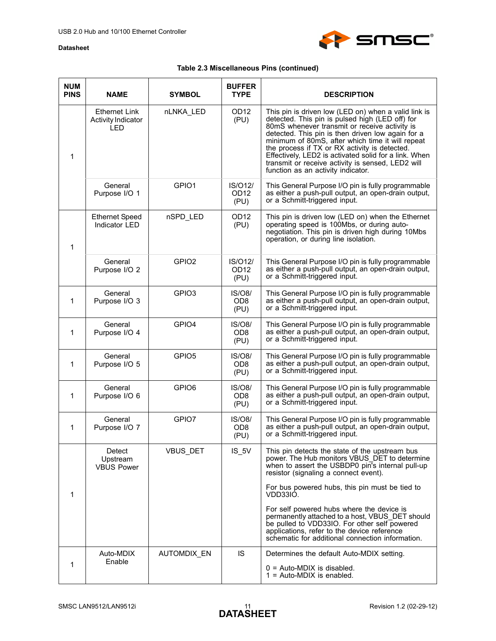

## **Table 2.3 Miscellaneous Pins (continued)**

| <b>NUM</b><br><b>PINS</b> | <b>NAME</b>                                              | <b>SYMBOL</b>     | <b>BUFFER</b><br><b>TYPE</b>        | <b>DESCRIPTION</b>                                                                                                                                                                                                                                                                                                                                                                                                                                                     |
|---------------------------|----------------------------------------------------------|-------------------|-------------------------------------|------------------------------------------------------------------------------------------------------------------------------------------------------------------------------------------------------------------------------------------------------------------------------------------------------------------------------------------------------------------------------------------------------------------------------------------------------------------------|
| $\mathbf 1$               | <b>Ethernet Link</b><br><b>Activity Indicator</b><br>LED | nLNKA_LED         | OD <sub>12</sub><br>(PU)            | This pin is driven low (LED on) when a valid link is<br>detected. This pin is pulsed high (LED off) for<br>80mS whenever transmit or receive activity is<br>detected. This pin is then driven low again for a<br>minimum of 80mS, after which time it will repeat<br>the process if TX or RX activity is detected.<br>Effectively, LED2 is activated solid for a link. When<br>transmit or receive activity is sensed, LED2 will<br>function as an activity indicator. |
|                           | General<br>Purpose I/O 1                                 | GPIO1             | IS/012/<br>OD <sub>12</sub><br>(PU) | This General Purpose I/O pin is fully programmable<br>as either a push-pull output, an open-drain output,<br>or a Schmitt-triggered input.                                                                                                                                                                                                                                                                                                                             |
| $\mathbf{1}$              | <b>Ethernet Speed</b><br>Indicator LED                   | nSPD LED          | OD12<br>(PU)                        | This pin is driven low (LED on) when the Ethernet<br>operating speed is 100Mbs, or during auto-<br>negotiation. This pin is driven high during 10Mbs<br>operation, or during line isolation.                                                                                                                                                                                                                                                                           |
|                           | General<br>Purpose I/O 2                                 | GPIO <sub>2</sub> | IS/012/<br>OD <sub>12</sub><br>(PU) | This General Purpose I/O pin is fully programmable<br>as either a push-pull output, an open-drain output,<br>or a Schmitt-triggered input.                                                                                                                                                                                                                                                                                                                             |
| 1                         | General<br>Purpose I/O 3                                 | GPIO <sub>3</sub> | IS/08/<br>OD <sub>8</sub><br>(PU)   | This General Purpose I/O pin is fully programmable<br>as either a push-pull output, an open-drain output,<br>or a Schmitt-triggered input.                                                                                                                                                                                                                                                                                                                             |
| 1                         | General<br>Purpose I/O 4                                 | GPIO4             | IS/08/<br>OD <sub>8</sub><br>(PU)   | This General Purpose I/O pin is fully programmable<br>as either a push-pull output, an open-drain output,<br>or a Schmitt-triggered input.                                                                                                                                                                                                                                                                                                                             |
| $\mathbf 1$               | General<br>Purpose I/O 5                                 | GPIO <sub>5</sub> | IS/08/<br>OD <sub>8</sub><br>(PU)   | This General Purpose I/O pin is fully programmable<br>as either a push-pull output, an open-drain output,<br>or a Schmitt-triggered input.                                                                                                                                                                                                                                                                                                                             |
| $\mathbf 1$               | General<br>Purpose I/O 6                                 | GPIO <sub>6</sub> | IS/08/<br>OD <sub>8</sub><br>(PU)   | This General Purpose I/O pin is fully programmable<br>as either a push-pull output, an open-drain output,<br>or a Schmitt-triggered input.                                                                                                                                                                                                                                                                                                                             |
| 1                         | General<br>Purpose I/O 7                                 | GPIO7             | IS/08/<br>OD <sub>8</sub><br>(PU)   | This General Purpose I/O pin is fully programmable<br>as either a push-pull output, an open-drain output,<br>or a Schmitt-triggered input.                                                                                                                                                                                                                                                                                                                             |
|                           | Detect<br>Upstream<br><b>VBUS Power</b>                  | VBUS_DET          | $IS_5V$                             | This pin detects the state of the upstream bus<br>power. The Hub monitors VBUS DET to determine<br>when to assert the USBDP0 pin's internal pull-up<br>resistor (signaling a connect event).                                                                                                                                                                                                                                                                           |
| 1                         |                                                          |                   |                                     | For bus powered hubs, this pin must be tied to<br>VDD33IO.                                                                                                                                                                                                                                                                                                                                                                                                             |
|                           |                                                          |                   |                                     | For self powered hubs where the device is<br>permanently attached to a host, VBUS DET should<br>be pulled to VDD33IO. For other self powered<br>applications, refer to the device reference<br>schematic for additional connection information.                                                                                                                                                                                                                        |
|                           | Auto-MDIX<br>Enable                                      | AUTOMDIX_EN       | <b>IS</b>                           | Determines the default Auto-MDIX setting.                                                                                                                                                                                                                                                                                                                                                                                                                              |
| 1                         |                                                          |                   |                                     | $0 =$ Auto-MDIX is disabled.<br>$1 =$ Auto-MDIX is enabled.                                                                                                                                                                                                                                                                                                                                                                                                            |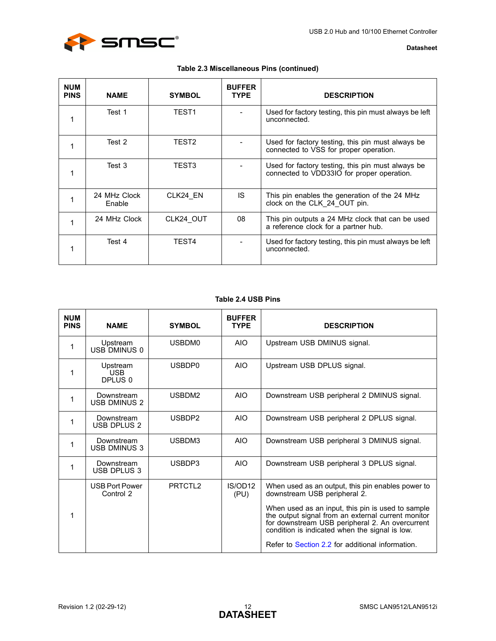

| <b>Datasheet</b> |  |
|------------------|--|
|------------------|--|

|  |  |  | Table 2.3 Miscellaneous Pins (continued) |  |  |
|--|--|--|------------------------------------------|--|--|
|--|--|--|------------------------------------------|--|--|

| <b>NUM</b><br><b>PINS</b> | <b>NAME</b>            | <b>SYMBOL</b> | <b>BUFFER</b><br><b>TYPE</b> | <b>DESCRIPTION</b>                                                                              |
|---------------------------|------------------------|---------------|------------------------------|-------------------------------------------------------------------------------------------------|
| 1                         | Test 1                 | TEST1         |                              | Used for factory testing, this pin must always be left<br>unconnected.                          |
|                           | Test 2                 | TEST2         |                              | Used for factory testing, this pin must always be<br>connected to VSS for proper operation.     |
| 1                         | Test 3                 | TEST3         |                              | Used for factory testing, this pin must always be<br>connected to VDD33IO for proper operation. |
|                           | 24 MHz Clock<br>Enable | CLK24 EN      | IS.                          | This pin enables the generation of the 24 MHz<br>clock on the CLK 24 OUT pin.                   |
| 1                         | 24 MHz Clock           | CLK24 OUT     | 08                           | This pin outputs a 24 MHz clock that can be used<br>a reference clock for a partner hub.        |
|                           | Test 4                 | TEST4         |                              | Used for factory testing, this pin must always be left<br>unconnected.                          |

## **Table 2.4 USB Pins**

<span id="page-11-0"></span>

|                           | Table 2.4 USB Pins                 |                     |                              |                                                                                                                                                                                                                                                                                                   |  |  |  |
|---------------------------|------------------------------------|---------------------|------------------------------|---------------------------------------------------------------------------------------------------------------------------------------------------------------------------------------------------------------------------------------------------------------------------------------------------|--|--|--|
| <b>NUM</b><br><b>PINS</b> | <b>NAME</b>                        | <b>SYMBOL</b>       | <b>BUFFER</b><br><b>TYPE</b> | <b>DESCRIPTION</b>                                                                                                                                                                                                                                                                                |  |  |  |
| 1                         | Upstream<br>USB DMINUS 0           | USBDM0              | <b>AIO</b>                   | Upstream USB DMINUS signal.                                                                                                                                                                                                                                                                       |  |  |  |
| 1                         | Upstream<br><b>USB</b><br>DPLUS 0  | USBDP0              | <b>AIO</b>                   | Upstream USB DPLUS signal.                                                                                                                                                                                                                                                                        |  |  |  |
| 1                         | Downstream<br><b>USB DMINUS 2</b>  | USBDM2              | <b>AIO</b>                   | Downstream USB peripheral 2 DMINUS signal.                                                                                                                                                                                                                                                        |  |  |  |
| 1                         | Downstream<br><b>USB DPLUS 2</b>   | USBDP2              | <b>AIO</b>                   | Downstream USB peripheral 2 DPLUS signal.                                                                                                                                                                                                                                                         |  |  |  |
| 1                         | Downstream<br><b>USB DMINUS 3</b>  | USBDM3              | <b>AIO</b>                   | Downstream USB peripheral 3 DMINUS signal.                                                                                                                                                                                                                                                        |  |  |  |
| 1                         | Downstream<br>USB DPLUS 3          | USBDP3              | <b>AIO</b>                   | Downstream USB peripheral 3 DPLUS signal.                                                                                                                                                                                                                                                         |  |  |  |
| 1                         | <b>USB Port Power</b><br>Control 2 | PRTCTL <sub>2</sub> | IS/OD12<br>(PU)              | When used as an output, this pin enables power to<br>downstream USB peripheral 2.<br>When used as an input, this pin is used to sample<br>the output signal from an external current monitor<br>for downstream USB peripheral 2. An overcurrent<br>condition is indicated when the signal is low. |  |  |  |
|                           |                                    |                     |                              | Refer to Section 2.2 for additional information.                                                                                                                                                                                                                                                  |  |  |  |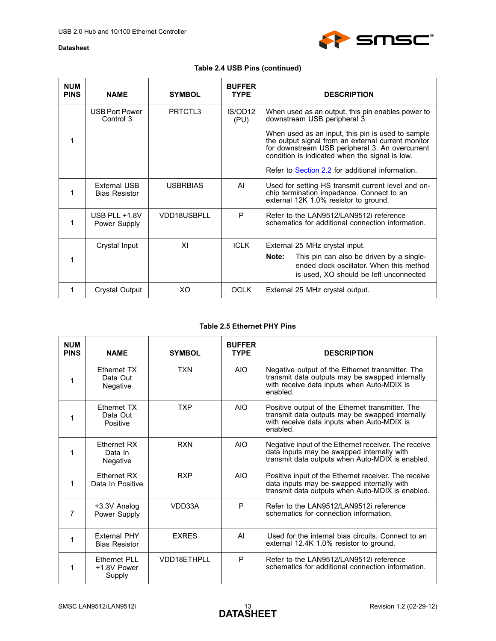

## **Table 2.4 USB Pins (continued)**

| <b>NUM</b><br><b>PINS</b> | <b>NAME</b>                          | <b>SYMBOL</b>   | <b>BUFFER</b><br><b>TYPE</b> | <b>DESCRIPTION</b>                                                                                                                                                                                                                                               |
|---------------------------|--------------------------------------|-----------------|------------------------------|------------------------------------------------------------------------------------------------------------------------------------------------------------------------------------------------------------------------------------------------------------------|
|                           | USB Port Power<br>Control 3          | PRTCTL3         | IS/OD12<br>(PU)              | When used as an output, this pin enables power to<br>downstream USB peripheral 3.                                                                                                                                                                                |
| 1                         |                                      |                 |                              | When used as an input, this pin is used to sample<br>the output signal from an external current monitor<br>for downstream USB peripheral 3. An overcurrent<br>condition is indicated when the signal is low.<br>Refer to Section 2.2 for additional information. |
|                           |                                      |                 |                              |                                                                                                                                                                                                                                                                  |
|                           | External USB<br><b>Bias Resistor</b> | <b>USBRBIAS</b> | AI                           | Used for setting HS transmit current level and on-<br>chip termination impedance. Connect to an<br>external 12K 1.0% resistor to ground.                                                                                                                         |
|                           | USB PLL $+1.8V$<br>Power Supply      | VDD18USBPLL     | P                            | Refer to the LAN9512/LAN9512i reference<br>schematics for additional connection information.                                                                                                                                                                     |
|                           | Crystal Input                        | XI              | <b>ICLK</b>                  | External 25 MHz crystal input.                                                                                                                                                                                                                                   |
| 1                         |                                      |                 |                              | Note:<br>This pin can also be driven by a single-<br>ended clock oscillator. When this method<br>is used, XO should be left unconnected                                                                                                                          |
|                           | Crystal Output                       | XO.             | <b>OCLK</b>                  | External 25 MHz crystal output.                                                                                                                                                                                                                                  |

### **Table 2.5 Ethernet PHY Pins**

<span id="page-12-0"></span>

| <b>NUM</b><br><b>PINS</b> | <b>NAME</b>                                 | <b>SYMBOL</b> | <b>BUFFER</b><br><b>TYPE</b> | <b>DESCRIPTION</b>                                                                                                                                            |
|---------------------------|---------------------------------------------|---------------|------------------------------|---------------------------------------------------------------------------------------------------------------------------------------------------------------|
| 1                         | <b>Fthernet TX</b><br>Data Out<br>Negative  | <b>TXN</b>    | <b>AIO</b>                   | Negative output of the Ethernet transmitter. The<br>transmit data outputs may be swapped internally<br>with receive data inputs when Auto-MDIX is<br>enabled. |
| 1                         | Ethernet TX<br>Data Out<br>Positive         | <b>TXP</b>    | <b>AIO</b>                   | Positive output of the Ethernet transmitter. The<br>transmit data outputs may be swapped internally<br>with receive data inputs when Auto-MDIX is<br>enabled. |
|                           | <b>Fthernet RX</b><br>Data In<br>Negative   | <b>RXN</b>    | <b>AIO</b>                   | Negative input of the Ethernet receiver. The receive<br>data inputs may be swapped internally with<br>transmit data outputs when Auto-MDIX is enabled.        |
| 1                         | <b>Fthernet RX</b><br>Data In Positive      | <b>RXP</b>    | AIO                          | Positive input of the Ethernet receiver. The receive<br>data inputs may be swapped internally with<br>transmit data outputs when Auto-MDIX is enabled.        |
| 7                         | +3.3V Analog<br>Power Supply                | VDD33A        | P                            | Refer to the LAN9512/LAN9512i reference<br>schematics for connection information.                                                                             |
|                           | <b>Fxternal PHY</b><br><b>Bias Resistor</b> | <b>EXRES</b>  | AI                           | Used for the internal bias circuits. Connect to an<br>external 12.4K 1.0% resistor to ground.                                                                 |
| 1                         | Ethernet PLL<br>+1.8V Power<br>Supply       | VDD18ETHPLL   | P                            | Refer to the LAN9512/LAN9512i reference<br>schematics for additional connection information.                                                                  |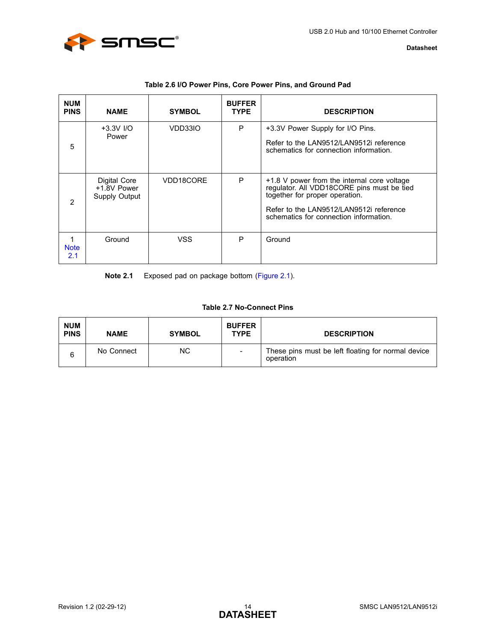

<span id="page-13-0"></span>

| <b>NUM</b><br><b>PINS</b> | <b>NAME</b>                                         | <b>SYMBOL</b> | <b>BUFFER</b><br><b>TYPE</b> | <b>DESCRIPTION</b>                                                                                                                                                                                               |
|---------------------------|-----------------------------------------------------|---------------|------------------------------|------------------------------------------------------------------------------------------------------------------------------------------------------------------------------------------------------------------|
| 5                         | $+3.3V$ I/O<br>Power                                | VDD33IO       | P                            | +3.3V Power Supply for I/O Pins.<br>Refer to the LAN9512/LAN9512i reference<br>schematics for connection information.                                                                                            |
| 2                         | Digital Core<br>+1.8V Power<br><b>Supply Output</b> | VDD18CORE     | P                            | +1.8 V power from the internal core voltage<br>regulator. All VDD18CORE pins must be tied<br>together for proper operation.<br>Refer to the LAN9512/LAN9512i reference<br>schematics for connection information. |
| <b>Note</b><br>2.1        | Ground                                              | <b>VSS</b>    | P                            | Ground                                                                                                                                                                                                           |

### **Table 2.6 I/O Power Pins, Core Power Pins, and Ground Pad**

<span id="page-13-2"></span>**Note 2.1** Exposed pad on package bottom [\(Figure 2.1\)](#page-8-1).

## **Table 2.7 No-Connect Pins**

<span id="page-13-1"></span>

| <b>NUM</b><br><b>PINS</b> | <b>NAME</b> | <b>SYMBOL</b> | <b>BUFFER</b><br><b>TYPE</b> | <b>DESCRIPTION</b>                                              |
|---------------------------|-------------|---------------|------------------------------|-----------------------------------------------------------------|
| 6                         | No Connect  | ΝC            |                              | These pins must be left floating for normal device<br>operation |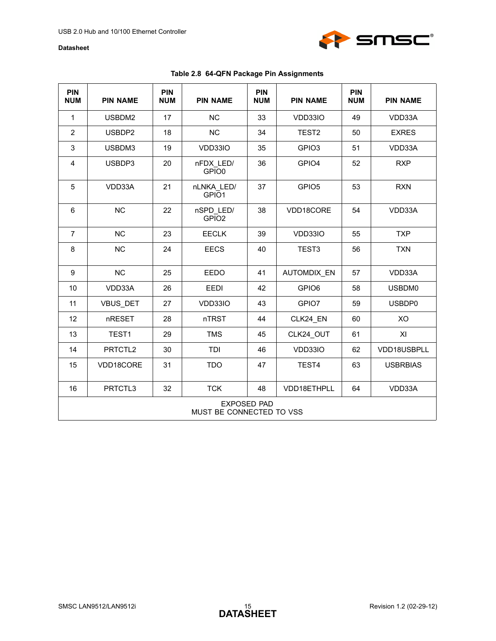

|  |  |  |  | Table 2.8 64-QFN Package Pin Assignments |
|--|--|--|--|------------------------------------------|
|--|--|--|--|------------------------------------------|

<span id="page-14-0"></span>

| <b>PIN</b><br><b>NUM</b> | <b>PIN NAME</b>                                | <b>PIN</b><br><b>NUM</b> | <b>PIN NAME</b>                 | <b>PIN</b><br><b>NUM</b> | <b>PIN NAME</b>    | <b>PIN</b><br><b>NUM</b> | <b>PIN NAME</b> |
|--------------------------|------------------------------------------------|--------------------------|---------------------------------|--------------------------|--------------------|--------------------------|-----------------|
| $\mathbf{1}$             | USBDM2                                         | 17                       | <b>NC</b>                       | 33                       | VDD33IO            | 49                       | VDD33A          |
| $\overline{2}$           | USBDP2                                         | 18                       | <b>NC</b>                       | 34                       | TEST <sub>2</sub>  | 50                       | <b>EXRES</b>    |
| 3                        | USBDM3                                         | 19                       | VDD33IO                         | 35                       | GPIO <sub>3</sub>  | 51                       | VDD33A          |
| 4                        | USBDP3                                         | 20                       | nFDX LED/<br>GPIO <sub>0</sub>  | 36                       | GPIO4              | 52                       | <b>RXP</b>      |
| 5                        | VDD33A                                         | 21                       | nLNKA LED/<br>GPIO <sub>1</sub> | 37                       | GPIO <sub>5</sub>  | 53                       | <b>RXN</b>      |
| $6\phantom{1}$           | NC                                             | 22                       | nSPD LED/<br>GPIO <sub>2</sub>  | 38                       | VDD18CORE          | 54                       | VDD33A          |
| $\overline{7}$           | <b>NC</b>                                      | 23                       | <b>EECLK</b>                    | 39                       | VDD33IO            | 55                       | <b>TXP</b>      |
| 8                        | <b>NC</b>                                      | 24                       | <b>EECS</b>                     | 40                       | TEST <sub>3</sub>  | 56                       | <b>TXN</b>      |
| 9                        | NC                                             | 25                       | EEDO                            | 41                       | <b>AUTOMDIX EN</b> | 57                       | VDD33A          |
| 10                       | VDD33A                                         | 26                       | EEDI                            | 42                       | GPIO6              | 58                       | USBDM0          |
| 11                       | VBUS_DET                                       | 27                       | VDD33IO                         | 43                       | GPIO7              | 59                       | USBDP0          |
| 12                       | nRESET                                         | 28                       | nTRST                           | 44                       | CLK24 EN           | 60                       | XO              |
| 13                       | TEST1                                          | 29                       | <b>TMS</b>                      | 45                       | CLK24 OUT          | 61                       | XI              |
| 14                       | PRTCTL2                                        | 30                       | TDI                             | 46                       | VDD33IO            | 62                       | VDD18USBPLL     |
| 15                       | VDD18CORE                                      | 31                       | <b>TDO</b>                      | 47                       | TEST4              | 63                       | <b>USBRBIAS</b> |
| 16                       | PRTCTL3                                        | 32                       | <b>TCK</b>                      | 48                       | VDD18ETHPLL        | 64                       | VDD33A          |
|                          | <b>EXPOSED PAD</b><br>MUST BE CONNECTED TO VSS |                          |                                 |                          |                    |                          |                 |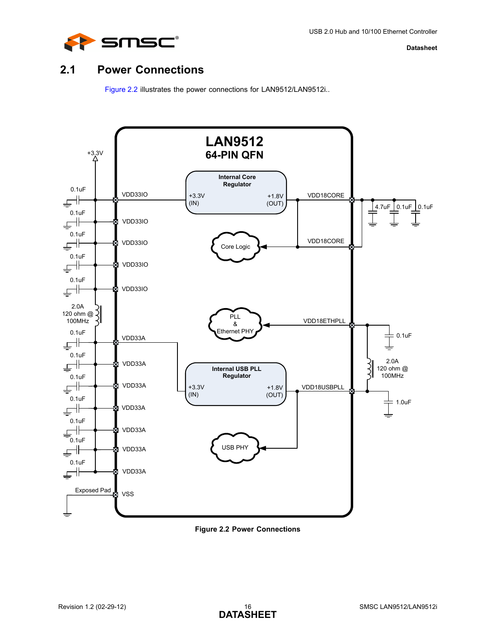

## <span id="page-15-0"></span>**2.1 Power Connections**

<span id="page-15-2"></span>[Figure 2.2](#page-15-1) illustrates the power connections for LAN9512/LAN9512i..



<span id="page-15-1"></span>**Figure 2.2 Power Connections**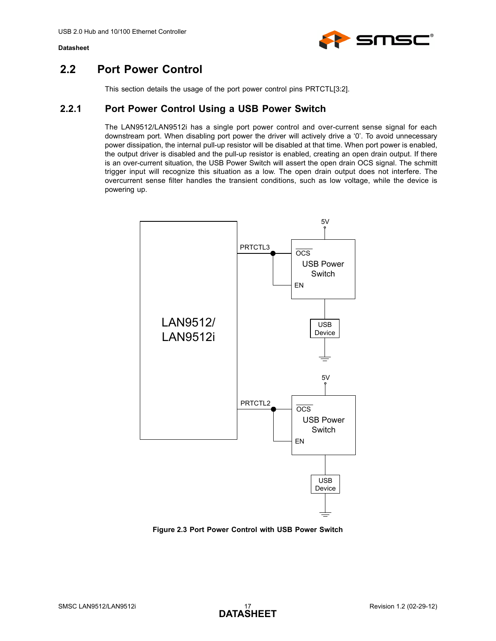

## <span id="page-16-0"></span>**2.2 Port Power Control**

This section details the usage of the port power control pins PRTCTL[3:2].

## <span id="page-16-1"></span>**2.2.1 Port Power Control Using a USB Power Switch**

The LAN9512/LAN9512i has a single port power control and over-current sense signal for each downstream port. When disabling port power the driver will actively drive a '0'. To avoid unnecessary power dissipation, the internal pull-up resistor will be disabled at that time. When port power is enabled, the output driver is disabled and the pull-up resistor is enabled, creating an open drain output. If there is an over-current situation, the USB Power Switch will assert the open drain OCS signal. The schmitt trigger input will recognize this situation as a low. The open drain output does not interfere. The overcurrent sense filter handles the transient conditions, such as low voltage, while the device is powering up.



<span id="page-16-2"></span>**Figure 2.3 Port Power Control with USB Power Switch**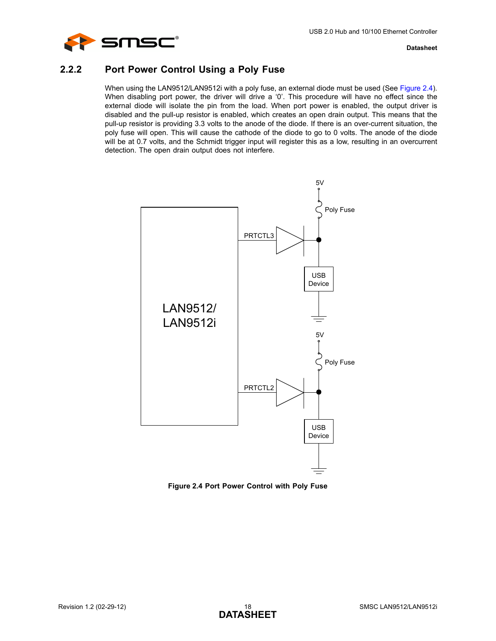

## <span id="page-17-0"></span>**2.2.2 Port Power Control Using a Poly Fuse**

When using the LAN9512/LAN9512i with a poly fuse, an external diode must be used (See [Figure 2.4\)](#page-17-1). When disabling port power, the driver will drive a '0'. This procedure will have no effect since the external diode will isolate the pin from the load. When port power is enabled, the output driver is disabled and the pull-up resistor is enabled, which creates an open drain output. This means that the pull-up resistor is providing 3.3 volts to the anode of the diode. If there is an over-current situation, the poly fuse will open. This will cause the cathode of the diode to go to 0 volts. The anode of the diode will be at 0.7 volts, and the Schmidt trigger input will register this as a low, resulting in an overcurrent detection. The open drain output does not interfere.



<span id="page-17-1"></span>**Figure 2.4 Port Power Control with Poly Fuse**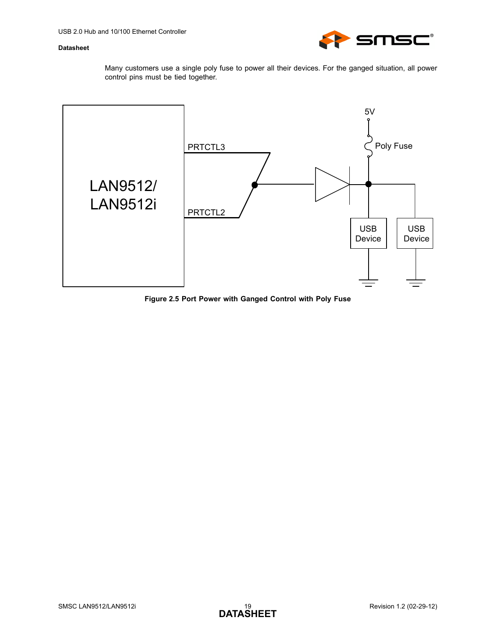

Many customers use a single poly fuse to power all their devices. For the ganged situation, all power control pins must be tied together.



<span id="page-18-0"></span>**Figure 2.5 Port Power with Ganged Control with Poly Fuse**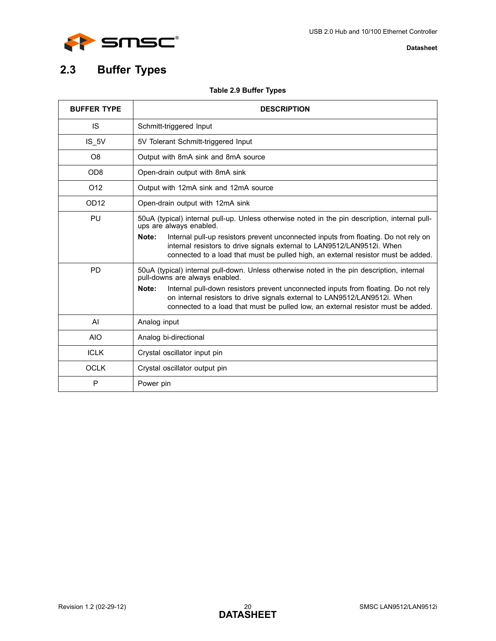

# <span id="page-19-0"></span>**2.3 Buffer Types**

## **Table 2.9 Buffer Types**

<span id="page-19-1"></span>

| <b>BUFFER TYPE</b> | <b>DESCRIPTION</b>                                                                                                                                                                                                                                           |
|--------------------|--------------------------------------------------------------------------------------------------------------------------------------------------------------------------------------------------------------------------------------------------------------|
| <b>IS</b>          | Schmitt-triggered Input                                                                                                                                                                                                                                      |
| IS 5V              | 5V Tolerant Schmitt-triggered Input                                                                                                                                                                                                                          |
| O8                 | Output with 8mA sink and 8mA source                                                                                                                                                                                                                          |
| OD <sub>8</sub>    | Open-drain output with 8mA sink                                                                                                                                                                                                                              |
| O <sub>12</sub>    | Output with 12mA sink and 12mA source                                                                                                                                                                                                                        |
| OD <sub>12</sub>   | Open-drain output with 12mA sink                                                                                                                                                                                                                             |
| PU                 | 50uA (typical) internal pull-up. Unless otherwise noted in the pin description, internal pull-<br>ups are always enabled.                                                                                                                                    |
|                    | Note:<br>Internal pull-up resistors prevent unconnected inputs from floating. Do not rely on<br>internal resistors to drive signals external to LAN9512/LAN9512i. When<br>connected to a load that must be pulled high, an external resistor must be added.  |
| <b>PD</b>          | 50uA (typical) internal pull-down. Unless otherwise noted in the pin description, internal<br>pull-downs are always enabled.                                                                                                                                 |
|                    | Internal pull-down resistors prevent unconnected inputs from floating. Do not rely<br>Note:<br>on internal resistors to drive signals external to LAN9512/LAN9512i. When<br>connected to a load that must be pulled low, an external resistor must be added. |
| AI                 | Analog input                                                                                                                                                                                                                                                 |
| <b>AIO</b>         | Analog bi-directional                                                                                                                                                                                                                                        |
| <b>ICLK</b>        | Crystal oscillator input pin                                                                                                                                                                                                                                 |
| <b>OCLK</b>        | Crystal oscillator output pin                                                                                                                                                                                                                                |
| P                  | Power pin                                                                                                                                                                                                                                                    |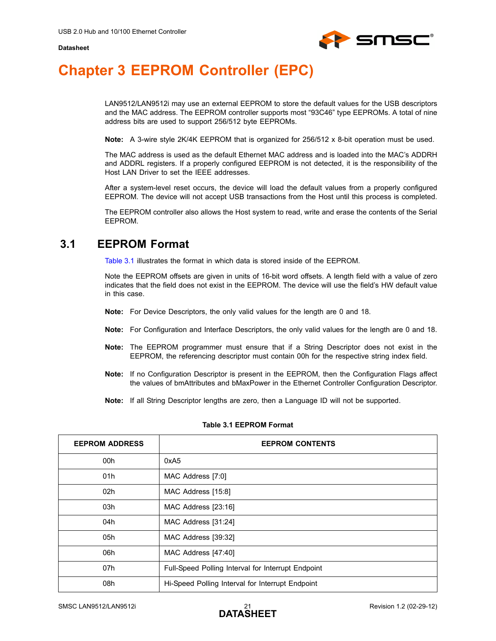

# <span id="page-20-0"></span>**Chapter 3 EEPROM Controller (EPC)**

<span id="page-20-3"></span>LAN9512/LAN9512i may use an external EEPROM to store the default values for the USB descriptors and the MAC address. The EEPROM controller supports most "93C46" type EEPROMs. A total of nine address bits are used to support 256/512 byte EEPROMs.

**Note:** A 3-wire style 2K/4K EEPROM that is organized for 256/512 x 8-bit operation must be used.

The MAC address is used as the default Ethernet MAC address and is loaded into the MAC's ADDRH and ADDRL registers. If a properly configured EEPROM is not detected, it is the responsibility of the Host LAN Driver to set the IEEE addresses.

After a system-level reset occurs, the device will load the default values from a properly configured EEPROM. The device will not accept USB transactions from the Host until this process is completed.

The EEPROM controller also allows the Host system to read, write and erase the contents of the Serial EEPROM.

## <span id="page-20-1"></span>**3.1 EEPROM Format**

[Table 3.1](#page-20-2) illustrates the format in which data is stored inside of the EEPROM.

Note the EEPROM offsets are given in units of 16-bit word offsets. A length field with a value of zero indicates that the field does not exist in the EEPROM. The device will use the field's HW default value in this case.

- **Note:** For Device Descriptors, the only valid values for the length are 0 and 18.
- **Note:** For Configuration and Interface Descriptors, the only valid values for the length are 0 and 18.
- **Note:** The EEPROM programmer must ensure that if a String Descriptor does not exist in the EEPROM, the referencing descriptor must contain 00h for the respective string index field.
- **Note:** If no Configuration Descriptor is present in the EEPROM, then the Configuration Flags affect the values of bmAttributes and bMaxPower in the Ethernet Controller Configuration Descriptor.
- **Note:** If all String Descriptor lengths are zero, then a Language ID will not be supported.

<span id="page-20-2"></span>

| <b>EEPROM ADDRESS</b> | <b>EEPROM CONTENTS</b>                             |
|-----------------------|----------------------------------------------------|
| 00h                   | 0xA <sub>5</sub>                                   |
| 01h                   | MAC Address [7:0]                                  |
| 02 <sub>h</sub>       | MAC Address [15:8]                                 |
| 03h                   | MAC Address [23:16]                                |
| 04h                   | MAC Address [31:24]                                |
| 05h                   | MAC Address [39:32]                                |
| 06h                   | MAC Address [47:40]                                |
| 07h                   | Full-Speed Polling Interval for Interrupt Endpoint |
| 08h                   | Hi-Speed Polling Interval for Interrupt Endpoint   |

#### **Table 3.1 EEPROM Format**

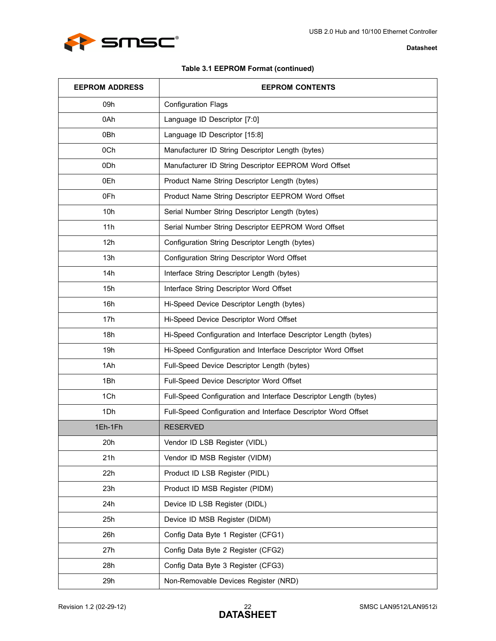

### **Table 3.1 EEPROM Format (continued)**

| <b>EEPROM ADDRESS</b> | <b>EEPROM CONTENTS</b>                                           |
|-----------------------|------------------------------------------------------------------|
| 09h                   | <b>Configuration Flags</b>                                       |
| 0Ah                   | Language ID Descriptor [7:0]                                     |
| 0Bh                   | Language ID Descriptor [15:8]                                    |
| 0Ch                   | Manufacturer ID String Descriptor Length (bytes)                 |
| 0 <sub>Dh</sub>       | Manufacturer ID String Descriptor EEPROM Word Offset             |
| 0Eh                   | Product Name String Descriptor Length (bytes)                    |
| 0Fh                   | Product Name String Descriptor EEPROM Word Offset                |
| 10h                   | Serial Number String Descriptor Length (bytes)                   |
| 11h                   | Serial Number String Descriptor EEPROM Word Offset               |
| 12h                   | Configuration String Descriptor Length (bytes)                   |
| 13h                   | Configuration String Descriptor Word Offset                      |
| 14h                   | Interface String Descriptor Length (bytes)                       |
| 15h                   | Interface String Descriptor Word Offset                          |
| 16h                   | Hi-Speed Device Descriptor Length (bytes)                        |
| 17h                   | Hi-Speed Device Descriptor Word Offset                           |
| 18h                   | Hi-Speed Configuration and Interface Descriptor Length (bytes)   |
| 19h                   | Hi-Speed Configuration and Interface Descriptor Word Offset      |
| 1Ah                   | Full-Speed Device Descriptor Length (bytes)                      |
| 1Bh                   | Full-Speed Device Descriptor Word Offset                         |
| 1Ch                   | Full-Speed Configuration and Interface Descriptor Length (bytes) |
| 1Dh                   | Full-Speed Configuration and Interface Descriptor Word Offset    |
| 1Eh-1Fh               | <b>RESERVED</b>                                                  |
| 20h                   | Vendor ID LSB Register (VIDL)                                    |
| 21h                   | Vendor ID MSB Register (VIDM)                                    |
| 22h                   | Product ID LSB Register (PIDL)                                   |
| 23h                   | Product ID MSB Register (PIDM)                                   |
| 24h                   | Device ID LSB Register (DIDL)                                    |
| 25h                   | Device ID MSB Register (DIDM)                                    |
| 26h                   | Config Data Byte 1 Register (CFG1)                               |
| 27h                   | Config Data Byte 2 Register (CFG2)                               |
| 28h                   | Config Data Byte 3 Register (CFG3)                               |
| 29h                   | Non-Removable Devices Register (NRD)                             |

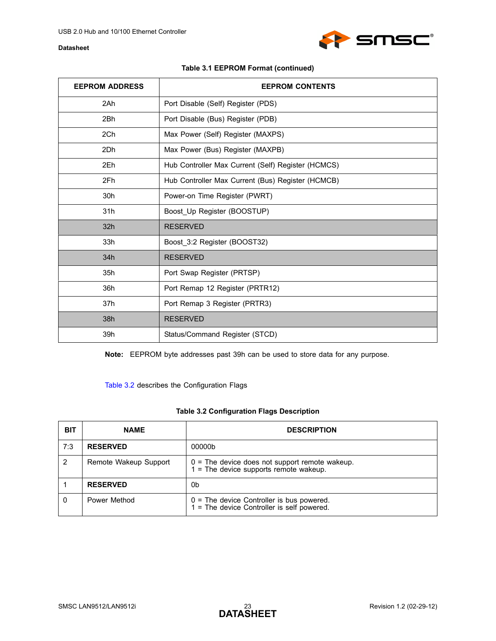

| <b>EEPROM ADDRESS</b> | <b>EEPROM CONTENTS</b>                             |
|-----------------------|----------------------------------------------------|
| 2Ah                   | Port Disable (Self) Register (PDS)                 |
| 2Bh                   | Port Disable (Bus) Register (PDB)                  |
| 2Ch                   | Max Power (Self) Register (MAXPS)                  |
| 2Dh                   | Max Power (Bus) Register (MAXPB)                   |
| 2Eh                   | Hub Controller Max Current (Self) Register (HCMCS) |
| 2Fh                   | Hub Controller Max Current (Bus) Register (HCMCB)  |
| 30h                   | Power-on Time Register (PWRT)                      |
| 31h                   | Boost_Up Register (BOOSTUP)                        |
| 32 <sub>h</sub>       | <b>RESERVED</b>                                    |
| 33h                   | Boost_3:2 Register (BOOST32)                       |
| 34h                   | <b>RESERVED</b>                                    |
| 35h                   | Port Swap Register (PRTSP)                         |
| 36h                   | Port Remap 12 Register (PRTR12)                    |
| 37h                   | Port Remap 3 Register (PRTR3)                      |
| 38h                   | <b>RESERVED</b>                                    |
| 39h                   | Status/Command Register (STCD)                     |

**Note:** EEPROM byte addresses past 39h can be used to store data for any purpose.

[Table 3.2](#page-22-0) describes the Configuration Flags

### **Table 3.2 Configuration Flags Description**

<span id="page-22-0"></span>

| <b>BIT</b> | <b>NAME</b>           | <b>DESCRIPTION</b>                                                                           |
|------------|-----------------------|----------------------------------------------------------------------------------------------|
| 7:3        | <b>RESERVED</b>       | 00000b                                                                                       |
|            | Remote Wakeup Support | $0 =$ The device does not support remote wakeup.<br>$1 =$ The device supports remote wakeup. |
|            | <b>RESERVED</b>       | 0b                                                                                           |
| 0          | Power Method          | $0 =$ The device Controller is bus powered.<br>1 = The device Controller is self powered.    |

**SMSC®**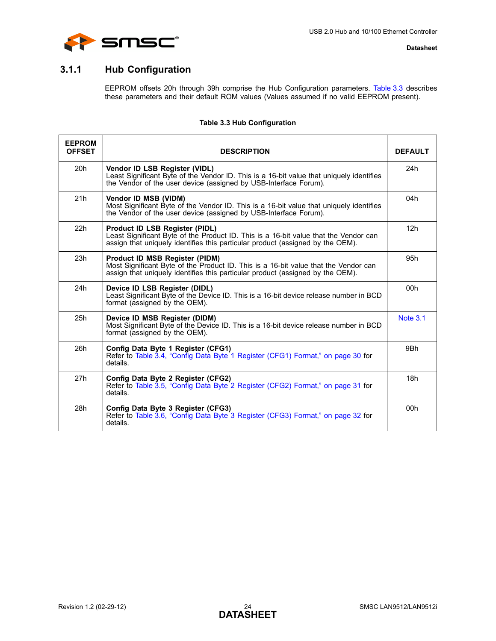



## <span id="page-23-0"></span>**3.1.1 Hub Configuration**

EEPROM offsets 20h through 39h comprise the Hub Configuration parameters. [Table 3.3](#page-23-1) describes these parameters and their default ROM values (Values assumed if no valid EEPROM present).

### **Table 3.3 Hub Configuration**

<span id="page-23-1"></span>

| <b>EEPROM</b><br><b>OFFSET</b> | <b>DESCRIPTION</b>                                                                                                                                                                                       | <b>DEFAULT</b>  |
|--------------------------------|----------------------------------------------------------------------------------------------------------------------------------------------------------------------------------------------------------|-----------------|
| 20h                            | Vendor ID LSB Register (VIDL)<br>Least Significant Byte of the Vendor ID. This is a 16-bit value that uniquely identifies<br>the Vendor of the user device (assigned by USB-Interface Forum).            | 24h             |
| 21h                            | Vendor ID MSB (VIDM)<br>Most Significant Byte of the Vendor ID. This is a 16-bit value that uniquely identifies<br>the Vendor of the user device (assigned by USB-Interface Forum).                      | 04h             |
| 22h                            | Product ID LSB Register (PIDL)<br>Least Significant Byte of the Product ID. This is a 16-bit value that the Vendor can<br>assign that uniquely identifies this particular product (assigned by the OEM). | 12h             |
| 23h                            | Product ID MSB Register (PIDM)<br>Most Significant Byte of the Product ID. This is a 16-bit value that the Vendor can<br>assign that uniquely identifies this particular product (assigned by the OEM).  | 95h             |
| 24h                            | Device ID LSB Register (DIDL)<br>Least Significant Byte of the Device ID. This is a 16-bit device release number in BCD<br>format (assigned by the OEM).                                                 | 00h             |
| 25h                            | Device ID MSB Register (DIDM)<br>Most Significant Byte of the Device ID. This is a 16-bit device release number in BCD<br>format (assigned by the OEM).                                                  | <b>Note 3.1</b> |
| 26h                            | Config Data Byte 1 Register (CFG1)<br>Refer to Table 3.4, "Config Data Byte 1 Register (CFG1) Format," on page 30 for<br>details.                                                                        | 9Bh             |
| 27h                            | Config Data Byte 2 Register (CFG2)<br>Refer to Table 3.5, "Config Data Byte 2 Register (CFG2) Format," on page 31 for<br>details.                                                                        | 18h             |
| 28h                            | Config Data Byte 3 Register (CFG3)<br>Refer to Table 3.6, "Config Data Byte 3 Register (CFG3) Format," on page 32 for<br>details.                                                                        | 00h             |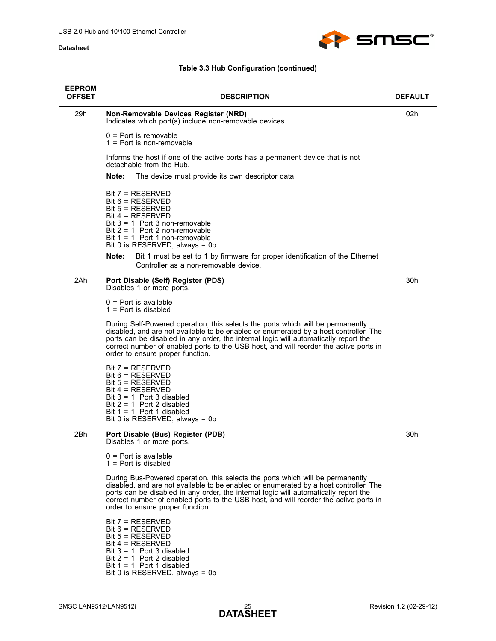

| <b>EEPROM</b><br><b>OFFSET</b> | <b>DESCRIPTION</b>                                                                                                                                                                                                                                                                                                                                                                            | <b>DEFAULT</b> |
|--------------------------------|-----------------------------------------------------------------------------------------------------------------------------------------------------------------------------------------------------------------------------------------------------------------------------------------------------------------------------------------------------------------------------------------------|----------------|
| 29h                            | Non-Removable Devices Register (NRD)<br>Indicates which port(s) include non-removable devices.                                                                                                                                                                                                                                                                                                | 02h            |
|                                | $0 =$ Port is removable<br>$1 =$ Port is non-removable                                                                                                                                                                                                                                                                                                                                        |                |
|                                | Informs the host if one of the active ports has a permanent device that is not<br>detachable from the Hub.                                                                                                                                                                                                                                                                                    |                |
|                                | Note:<br>The device must provide its own descriptor data.                                                                                                                                                                                                                                                                                                                                     |                |
|                                | Bit 7 = RESERVED<br>Bit $6$ = RESERVED<br>$Bit 5 = RESERVED$<br>$Bit 4 = RESERVED$<br>Bit $3 = 1$ ; Port 3 non-removable<br>Bit $2 = 1$ ; Port 2 non-removable<br>Bit $1 = 1$ ; Port 1 non-removable<br>Bit 0 is RESERVED, always = 0b                                                                                                                                                        |                |
|                                | Note:<br>Bit 1 must be set to 1 by firmware for proper identification of the Ethernet<br>Controller as a non-removable device.                                                                                                                                                                                                                                                                |                |
| 2Ah                            | Port Disable (Self) Register (PDS)<br>Disables 1 or more ports.                                                                                                                                                                                                                                                                                                                               | 30h            |
|                                | $0 =$ Port is available<br>$1 =$ Port is disabled                                                                                                                                                                                                                                                                                                                                             |                |
|                                | During Self-Powered operation, this selects the ports which will be permanently<br>disabled, and are not available to be enabled or enumerated by a host controller. The<br>ports can be disabled in any order, the internal logic will automatically report the<br>correct number of enabled ports to the USB host, and will reorder the active ports in<br>order to ensure proper function. |                |
|                                | Bit 7 = RESERVED<br>Bit $6 = RESERVED$<br>$Bit 5 = RESERVED$<br>Bit 4 = RESERVED<br>Bit $3 = 1$ ; Port 3 disabled<br>Bit $2 = 1$ ; Port 2 disabled<br>Bit $1 = 1$ ; Port 1 disabled<br>Bit 0 is RESERVED, always = 0b                                                                                                                                                                         |                |
| 2Bh                            | Port Disable (Bus) Register (PDB)<br>Disables 1 or more ports.                                                                                                                                                                                                                                                                                                                                | 30h            |
|                                | $0 =$ Port is available<br>$1 =$ Port is disabled                                                                                                                                                                                                                                                                                                                                             |                |
|                                | During Bus-Powered operation, this selects the ports which will be permanently<br>disabled, and are not available to be enabled or enumerated by a host controller. The<br>ports can be disabled in any order, the internal logic will automatically report the<br>correct number of enabled ports to the USB host, and will reorder the active ports in<br>order to ensure proper function.  |                |
|                                | $Bit 7 = RESERVED$<br>$Bit 6 = RESERVED$<br>$Bit 5 = RESERVED$<br>Bit 4 = RESERVED<br>Bit $3 = 1$ ; Port 3 disabled<br>Bit $2 = 1$ ; Port 2 disabled<br>Bit $1 = 1$ ; Port 1 disabled<br>Bit 0 is RESERVED, always = 0b                                                                                                                                                                       |                |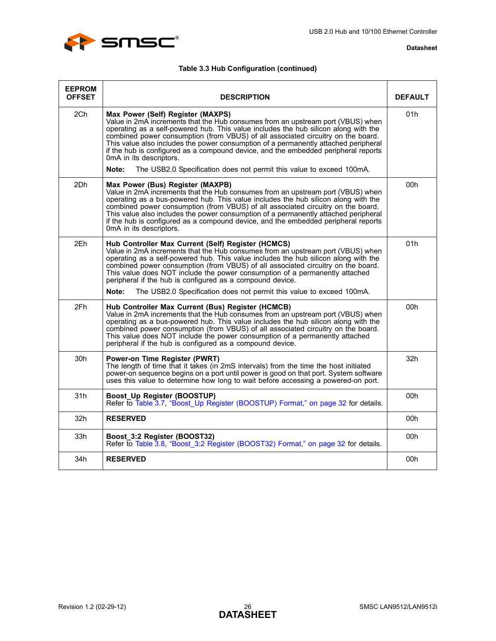

| <b>EEPROM</b><br><b>OFFSET</b> | <b>DESCRIPTION</b>                                                                                                                                                                                                                                                                                                                                                                                                                                                                                                                            | <b>DEFAULT</b> |
|--------------------------------|-----------------------------------------------------------------------------------------------------------------------------------------------------------------------------------------------------------------------------------------------------------------------------------------------------------------------------------------------------------------------------------------------------------------------------------------------------------------------------------------------------------------------------------------------|----------------|
| 2Ch                            | Max Power (Self) Register (MAXPS)<br>Value in 2mA increments that the Hub consumes from an upstream port (VBUS) when<br>operating as a self-powered hub. This value includes the hub silicon along with the<br>combined power consumption (from VBUS) of all associated circuitry on the board.<br>This value also includes the power consumption of a permanently attached peripheral<br>if the hub is configured as a compound device, and the embedded peripheral reports<br>0mA in its descriptors.                                       | 01h            |
|                                | Note:<br>The USB2.0 Specification does not permit this value to exceed 100mA.                                                                                                                                                                                                                                                                                                                                                                                                                                                                 |                |
| 2Dh                            | Max Power (Bus) Register (MAXPB)<br>Value in 2mA increments that the Hub consumes from an upstream port (VBUS) when<br>operating as a bus-powered hub. This value includes the hub silicon along with the<br>combined power consumption (from VBUS) of all associated circuitry on the board.<br>This value also includes the power consumption of a permanently attached peripheral<br>if the hub is configured as a compound device, and the embedded peripheral reports<br>0mA in its descriptors.                                         | 00h            |
| 2Eh                            | Hub Controller Max Current (Self) Register (HCMCS)<br>Value in 2mA increments that the Hub consumes from an upstream port (VBUS) when<br>operating as a self-powered hub. This value includes the hub silicon along with the<br>combined power consumption (from VBUS) of all associated circuitry on the board.<br>This value does NOT include the power consumption of a permanently attached<br>peripheral if the hub is configured as a compound device.<br>The USB2.0 Specification does not permit this value to exceed 100mA.<br>Note: | 01h            |
|                                |                                                                                                                                                                                                                                                                                                                                                                                                                                                                                                                                               |                |
| 2Fh                            | Hub Controller Max Current (Bus) Register (HCMCB)<br>Value in 2mA increments that the Hub consumes from an upstream port (VBUS) when<br>operating as a bus-powered hub. This value includes the hub silicon along with the<br>combined power consumption (from VBUS) of all associated circuitry on the board.<br>This value does NOT include the power consumption of a permanently attached<br>peripheral if the hub is configured as a compound device.                                                                                    | 00h            |
| 30h                            | Power-on Time Register (PWRT)<br>The length of time that it takes (in 2mS intervals) from the time the host initiated<br>power-on sequence begins on a port until power is good on that port. System software<br>uses this value to determine how long to wait before accessing a powered-on port.                                                                                                                                                                                                                                            | 32h            |
| 31h                            | Boost_Up Register (BOOSTUP)<br>Refer to Table 3.7, "Boost Up Register (BOOSTUP) Format," on page 32 for details.                                                                                                                                                                                                                                                                                                                                                                                                                              | 00h            |
| 32h                            | <b>RESERVED</b>                                                                                                                                                                                                                                                                                                                                                                                                                                                                                                                               | 00h            |
| 33h                            | Boost 3:2 Register (BOOST32)<br>Refer to Table 3.8, "Boost 3:2 Register (BOOST32) Format," on page 32 for details.                                                                                                                                                                                                                                                                                                                                                                                                                            | 00h            |
| 34h                            | <b>RESERVED</b>                                                                                                                                                                                                                                                                                                                                                                                                                                                                                                                               | 00h            |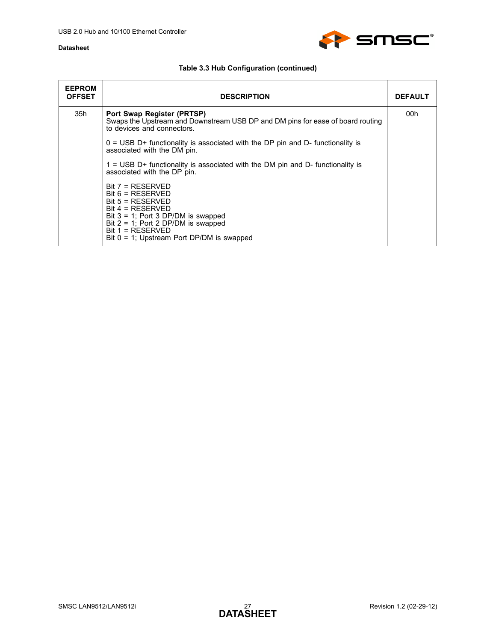

| <b>EEPROM</b><br><b>OFFSET</b> | <b>DESCRIPTION</b>                                                                                                                                                                                                                           | <b>DEFAULT</b> |
|--------------------------------|----------------------------------------------------------------------------------------------------------------------------------------------------------------------------------------------------------------------------------------------|----------------|
| 35h                            | Port Swap Register (PRTSP)<br>Swaps the Upstream and Downstream USB DP and DM pins for ease of board routing<br>to devices and connectors.                                                                                                   | 00h            |
|                                | $0 = USB D+$ functionality is associated with the DP pin and D- functionality is<br>associated with the DM pin.                                                                                                                              |                |
|                                | $1 =$ USB D+ functionality is associated with the DM pin and D- functionality is<br>associated with the DP pin.                                                                                                                              |                |
|                                | $Bit 7 = RESERVED$<br>$Bit 6 = RESERVED$<br>$Bit 5 = RESERVED$<br>$Bit 4 = RESERVED$<br>Bit $3 = 1$ ; Port 3 DP/DM is swapped<br>Bit $2 = 1$ ; Port 2 DP/DM is swapped<br>$Bit 1 = RESERVED$<br>Bit $0 = 1$ ; Upstream Port DP/DM is swapped |                |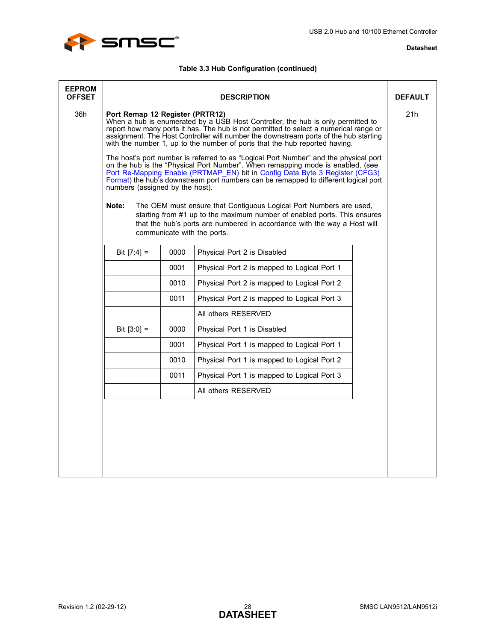

| <b>EEPROM</b><br><b>OFFSET</b> |                                                                                                                                                                                                                                                                                                                                                                                                                                                                                                                                                                                                                                                                                                                                                                       |      | <b>DESCRIPTION</b>                                                                                                                                                                                                                                        | <b>DEFAULT</b> |
|--------------------------------|-----------------------------------------------------------------------------------------------------------------------------------------------------------------------------------------------------------------------------------------------------------------------------------------------------------------------------------------------------------------------------------------------------------------------------------------------------------------------------------------------------------------------------------------------------------------------------------------------------------------------------------------------------------------------------------------------------------------------------------------------------------------------|------|-----------------------------------------------------------------------------------------------------------------------------------------------------------------------------------------------------------------------------------------------------------|----------------|
| 36h                            | Port Remap 12 Register (PRTR12)<br>When a hub is enumerated by a USB Host Controller, the hub is only permitted to<br>report how many ports it has. The hub is not permitted to select a numerical range or<br>assignment. The Host Controller will number the downstream ports of the hub starting<br>with the number 1, up to the number of ports that the hub reported having.<br>The host's port number is referred to as "Logical Port Number" and the physical port<br>on the hub is the "Physical Port Number". When remapping mode is enabled, (see<br>Port Re-Mapping Enable (PRTMAP EN) bit in Config Data Byte 3 Register (CFG3)<br>Format) the hub's downstream port numbers can be remapped to different logical port<br>numbers (assigned by the host). |      |                                                                                                                                                                                                                                                           | 21h            |
|                                | Note:                                                                                                                                                                                                                                                                                                                                                                                                                                                                                                                                                                                                                                                                                                                                                                 |      | The OEM must ensure that Contiguous Logical Port Numbers are used,<br>starting from #1 up to the maximum number of enabled ports. This ensures<br>that the hub's ports are numbered in accordance with the way a Host will<br>communicate with the ports. |                |
|                                | Bit $[7:4] =$                                                                                                                                                                                                                                                                                                                                                                                                                                                                                                                                                                                                                                                                                                                                                         | 0000 | Physical Port 2 is Disabled                                                                                                                                                                                                                               |                |
|                                |                                                                                                                                                                                                                                                                                                                                                                                                                                                                                                                                                                                                                                                                                                                                                                       | 0001 | Physical Port 2 is mapped to Logical Port 1                                                                                                                                                                                                               |                |
|                                |                                                                                                                                                                                                                                                                                                                                                                                                                                                                                                                                                                                                                                                                                                                                                                       | 0010 | Physical Port 2 is mapped to Logical Port 2                                                                                                                                                                                                               |                |
|                                |                                                                                                                                                                                                                                                                                                                                                                                                                                                                                                                                                                                                                                                                                                                                                                       | 0011 | Physical Port 2 is mapped to Logical Port 3                                                                                                                                                                                                               |                |
|                                |                                                                                                                                                                                                                                                                                                                                                                                                                                                                                                                                                                                                                                                                                                                                                                       |      | All others RESERVED                                                                                                                                                                                                                                       |                |
|                                | Bit $[3:0] =$                                                                                                                                                                                                                                                                                                                                                                                                                                                                                                                                                                                                                                                                                                                                                         | 0000 | Physical Port 1 is Disabled                                                                                                                                                                                                                               |                |
|                                |                                                                                                                                                                                                                                                                                                                                                                                                                                                                                                                                                                                                                                                                                                                                                                       | 0001 | Physical Port 1 is mapped to Logical Port 1                                                                                                                                                                                                               |                |
|                                |                                                                                                                                                                                                                                                                                                                                                                                                                                                                                                                                                                                                                                                                                                                                                                       | 0010 | Physical Port 1 is mapped to Logical Port 2                                                                                                                                                                                                               |                |
|                                |                                                                                                                                                                                                                                                                                                                                                                                                                                                                                                                                                                                                                                                                                                                                                                       | 0011 | Physical Port 1 is mapped to Logical Port 3                                                                                                                                                                                                               |                |
|                                |                                                                                                                                                                                                                                                                                                                                                                                                                                                                                                                                                                                                                                                                                                                                                                       |      | All others RESERVED                                                                                                                                                                                                                                       |                |
|                                |                                                                                                                                                                                                                                                                                                                                                                                                                                                                                                                                                                                                                                                                                                                                                                       |      |                                                                                                                                                                                                                                                           |                |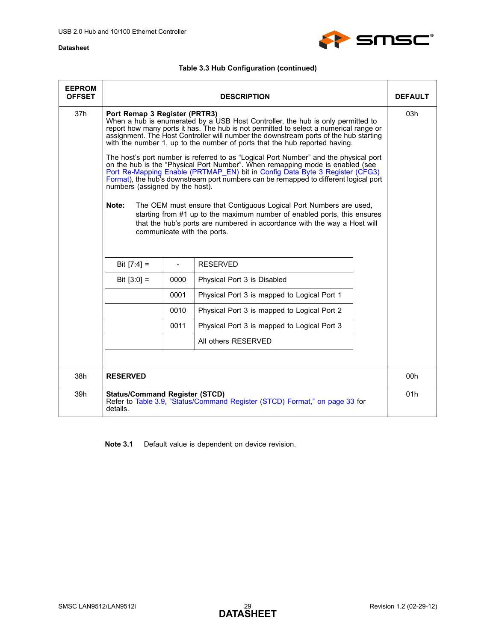

## **Table 3.3 Hub Configuration (continued)**

| <b>EEPROM</b><br><b>OFFSET</b> |                                                                                                                                                                                                                                                                                                                                                                                                                                                                                                                                                                                                                                                                                                                                                                                                                                                                                                                                                                                                                                           |                | <b>DESCRIPTION</b>                                                          | <b>DEFAULT</b> |
|--------------------------------|-------------------------------------------------------------------------------------------------------------------------------------------------------------------------------------------------------------------------------------------------------------------------------------------------------------------------------------------------------------------------------------------------------------------------------------------------------------------------------------------------------------------------------------------------------------------------------------------------------------------------------------------------------------------------------------------------------------------------------------------------------------------------------------------------------------------------------------------------------------------------------------------------------------------------------------------------------------------------------------------------------------------------------------------|----------------|-----------------------------------------------------------------------------|----------------|
| 37 <sub>h</sub>                | Port Remap 3 Register (PRTR3)<br>When a hub is enumerated by a USB Host Controller, the hub is only permitted to<br>report how many ports it has. The hub is not permitted to select a numerical range or<br>assignment. The Host Controller will number the downstream ports of the hub starting<br>with the number 1, up to the number of ports that the hub reported having.<br>The host's port number is referred to as "Logical Port Number" and the physical port<br>on the hub is the "Physical Port Number". When remapping mode is enabled (see<br>Port Re-Mapping Enable (PRTMAP_EN) bit in Config Data Byte 3 Register (CFG3)<br>Format), the hub's downstream port numbers can be remapped to different logical port<br>numbers (assigned by the host).<br>Note:<br>The OEM must ensure that Contiguous Logical Port Numbers are used,<br>starting from #1 up to the maximum number of enabled ports, this ensures<br>that the hub's ports are numbered in accordance with the way a Host will<br>communicate with the ports. |                |                                                                             | 03h            |
|                                | Bit $[7:4] =$                                                                                                                                                                                                                                                                                                                                                                                                                                                                                                                                                                                                                                                                                                                                                                                                                                                                                                                                                                                                                             | $\overline{a}$ | <b>RESERVED</b>                                                             |                |
|                                | Bit $[3:0] =$                                                                                                                                                                                                                                                                                                                                                                                                                                                                                                                                                                                                                                                                                                                                                                                                                                                                                                                                                                                                                             | 0000           | Physical Port 3 is Disabled                                                 |                |
|                                |                                                                                                                                                                                                                                                                                                                                                                                                                                                                                                                                                                                                                                                                                                                                                                                                                                                                                                                                                                                                                                           | 0001           | Physical Port 3 is mapped to Logical Port 1                                 |                |
|                                |                                                                                                                                                                                                                                                                                                                                                                                                                                                                                                                                                                                                                                                                                                                                                                                                                                                                                                                                                                                                                                           | 0010           | Physical Port 3 is mapped to Logical Port 2                                 |                |
|                                | 0011<br>Physical Port 3 is mapped to Logical Port 3                                                                                                                                                                                                                                                                                                                                                                                                                                                                                                                                                                                                                                                                                                                                                                                                                                                                                                                                                                                       |                |                                                                             |                |
|                                |                                                                                                                                                                                                                                                                                                                                                                                                                                                                                                                                                                                                                                                                                                                                                                                                                                                                                                                                                                                                                                           |                | All others RESERVED                                                         |                |
|                                |                                                                                                                                                                                                                                                                                                                                                                                                                                                                                                                                                                                                                                                                                                                                                                                                                                                                                                                                                                                                                                           |                |                                                                             |                |
| 38h                            | <b>RESERVED</b>                                                                                                                                                                                                                                                                                                                                                                                                                                                                                                                                                                                                                                                                                                                                                                                                                                                                                                                                                                                                                           |                |                                                                             | 00h            |
| 39h                            | <b>Status/Command Register (STCD)</b><br>details.                                                                                                                                                                                                                                                                                                                                                                                                                                                                                                                                                                                                                                                                                                                                                                                                                                                                                                                                                                                         |                | Refer to Table 3.9, "Status/Command Register (STCD) Format," on page 33 for | 01h            |

<span id="page-28-0"></span>**Note 3.1** Default value is dependent on device revision.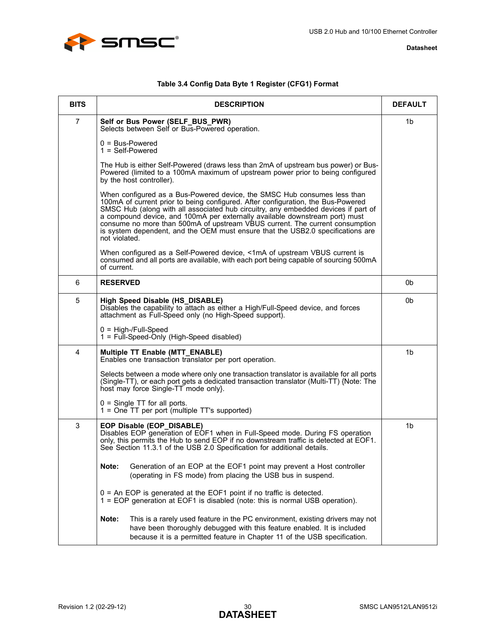

|  |  |  |  | Table 3.4 Config Data Byte 1 Register (CFG1) Format |
|--|--|--|--|-----------------------------------------------------|
|--|--|--|--|-----------------------------------------------------|

<span id="page-29-0"></span>

| <b>BITS</b>    | <b>DESCRIPTION</b>                                                                                                                                                                                                                                                                                                                                                                                                                                                                                                    | <b>DEFAULT</b> |
|----------------|-----------------------------------------------------------------------------------------------------------------------------------------------------------------------------------------------------------------------------------------------------------------------------------------------------------------------------------------------------------------------------------------------------------------------------------------------------------------------------------------------------------------------|----------------|
| $\overline{7}$ | Self or Bus Power (SELF_BUS_PWR)<br>Selects between Self or Bus-Powered operation.                                                                                                                                                                                                                                                                                                                                                                                                                                    | 1b             |
|                | $0 = Bus-Powered$<br>$1 = Self-Powered$                                                                                                                                                                                                                                                                                                                                                                                                                                                                               |                |
|                | The Hub is either Self-Powered (draws less than 2mA of upstream bus power) or Bus-<br>Powered (limited to a 100mA maximum of upstream power prior to being configured<br>by the host controller).                                                                                                                                                                                                                                                                                                                     |                |
|                | When configured as a Bus-Powered device, the SMSC Hub consumes less than<br>100mA of current prior to being configured. After configuration, the Bus-Powered<br>SMSC Hub (along with all associated hub circuitry, any embedded devices if part of<br>a compound device, and 100mA per externally available downstream port) must<br>consume no more than 500mA of upstream VBUS current. The current consumption<br>is system dependent, and the OEM must ensure that the USB2.0 specifications are<br>not violated. |                |
|                | When configured as a Self-Powered device, <1mA of upstream VBUS current is<br>consumed and all ports are available, with each port being capable of sourcing 500mA<br>of current.                                                                                                                                                                                                                                                                                                                                     |                |
| 6              | <b>RESERVED</b>                                                                                                                                                                                                                                                                                                                                                                                                                                                                                                       | 0b             |
| 5              | High Speed Disable (HS_DISABLE)<br>Disables the capability to attach as either a High/Full-Speed device, and forces<br>attachment as Full-Speed only (no High-Speed support).                                                                                                                                                                                                                                                                                                                                         | 0 <sub>b</sub> |
|                | $0 = High$ -/Full-Speed<br>1 = Full-Speed-Only (High-Speed disabled)                                                                                                                                                                                                                                                                                                                                                                                                                                                  |                |
| 4              | Multiple TT Enable (MTT_ENABLE)<br>Enables one transaction translator per port operation.                                                                                                                                                                                                                                                                                                                                                                                                                             | 1 <sub>b</sub> |
|                | Selects between a mode where only one transaction translator is available for all ports<br>(Single-TT), or each port gets a dedicated transaction translator (Multi-TT) {Note: The<br>host may force Single-TT mode only.                                                                                                                                                                                                                                                                                             |                |
|                | $0 =$ Single TT for all ports.<br>1 = One TT per port (multiple TT's supported)                                                                                                                                                                                                                                                                                                                                                                                                                                       |                |
| 3              | EOP Disable (EOP_DISABLE)<br>Disables EOP generation of EOF1 when in Full-Speed mode. During FS operation<br>only, this permits the Hub to send EOP if no downstream traffic is detected at EOF1.<br>See Section 11.3.1 of the USB 2.0 Specification for additional details.                                                                                                                                                                                                                                          | 1 <sub>b</sub> |
|                | Note:<br>Generation of an EOP at the EOF1 point may prevent a Host controller<br>(operating in FS mode) from placing the USB bus in suspend.                                                                                                                                                                                                                                                                                                                                                                          |                |
|                | 0 = An EOP is generated at the EOF1 point if no traffic is detected.<br>1 = EOP generation at EOF1 is disabled (note: this is normal USB operation).                                                                                                                                                                                                                                                                                                                                                                  |                |
|                | This is a rarely used feature in the PC environment, existing drivers may not<br>Note:<br>have been thoroughly debugged with this feature enabled. It is included<br>because it is a permitted feature in Chapter 11 of the USB specification.                                                                                                                                                                                                                                                                        |                |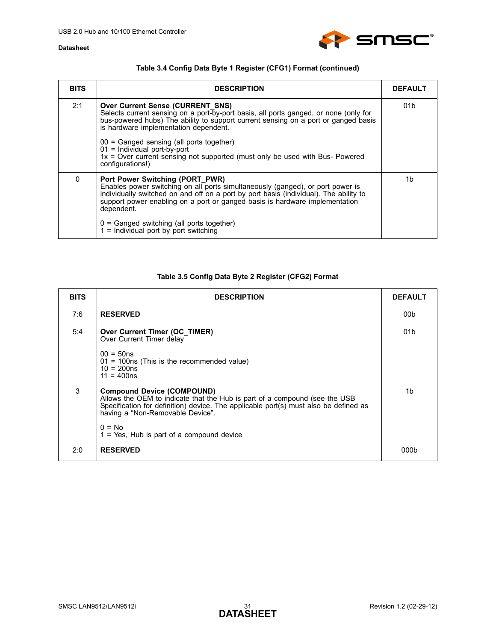

## **Table 3.4 Config Data Byte 1 Register (CFG1) Format (continued)**

| <b>BITS</b> | <b>DESCRIPTION</b>                                                                                                                                                                                                                                                                                      | <b>DEFAULT</b>  |
|-------------|---------------------------------------------------------------------------------------------------------------------------------------------------------------------------------------------------------------------------------------------------------------------------------------------------------|-----------------|
| 2:1         | <b>Over Current Sense (CURRENT SNS)</b><br>Selects current sensing on a port-by-port basis, all ports ganged, or none (only for<br>bus-powered hubs) The ability to support current sensing on a port or ganged basis<br>is hardware implementation dependent.                                          | 01 <sub>b</sub> |
|             | $00 =$ Ganged sensing (all ports together)<br>$01 =$ Individual port-by-port<br>1x = Over current sensing not supported (must only be used with Bus- Powered<br>configurations!)                                                                                                                        |                 |
| $\Omega$    | Port Power Switching (PORT_PWR)<br>Enables power switching on all ports simultaneously (ganged), or port power is<br>individually switched on and off on a port by port basis (individual). The ability to<br>support power enabling on a port or ganged basis is hardware implementation<br>dependent. | 1b              |
|             | $0 =$ Ganged switching (all ports together)<br>$1 =$ Individual port by port switching                                                                                                                                                                                                                  |                 |

### **Table 3.5 Config Data Byte 2 Register (CFG2) Format**

<span id="page-30-0"></span>

| <b>BITS</b> | <b>DESCRIPTION</b>                                                                                                                                                                                                                                                                                      | <b>DEFAULT</b>  |
|-------------|---------------------------------------------------------------------------------------------------------------------------------------------------------------------------------------------------------------------------------------------------------------------------------------------------------|-----------------|
| 7:6         | <b>RESERVED</b>                                                                                                                                                                                                                                                                                         | 00 <sub>b</sub> |
| 5:4         | Over Current Timer (OC TIMER)<br>Over Current Timer delay<br>$00 = 50$ ns<br>$01 = 100$ ns (This is the recommended value)<br>$10 = 200ns$<br>$11 = 400ns$                                                                                                                                              | 01 <sub>b</sub> |
| 3           | <b>Compound Device (COMPOUND)</b><br>Allows the OEM to indicate that the Hub is part of a compound (see the USB<br>Specification for definition) device. The applicable port(s) must also be defined as<br>having a "Non-Removable Device".<br>$0 = No$<br>$1 = Yes$ , Hub is part of a compound device | 1b              |
| 2:0         | <b>RESERVED</b>                                                                                                                                                                                                                                                                                         | 000b            |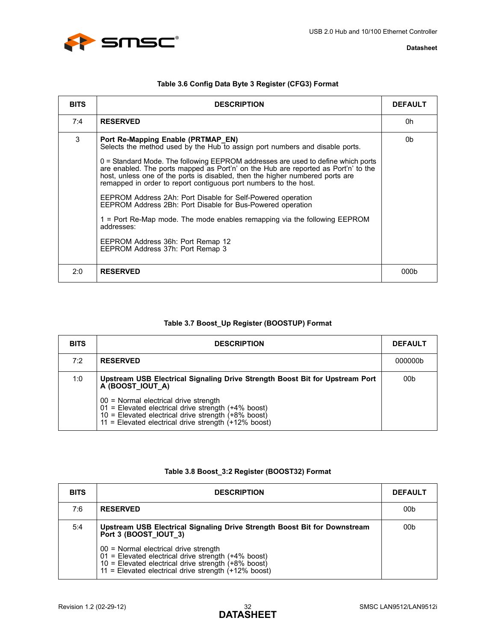



| Table 3.6 Config Data Byte 3 Register (CFG3) Format |  |  |
|-----------------------------------------------------|--|--|
|-----------------------------------------------------|--|--|

<span id="page-31-3"></span><span id="page-31-0"></span>

| <b>BITS</b> | <b>DESCRIPTION</b>                                                                                                                                                                                                                                                                                                                                                                                                                                                                                                                                                                                                                                                                                                                                   | <b>DEFAULT</b> |
|-------------|------------------------------------------------------------------------------------------------------------------------------------------------------------------------------------------------------------------------------------------------------------------------------------------------------------------------------------------------------------------------------------------------------------------------------------------------------------------------------------------------------------------------------------------------------------------------------------------------------------------------------------------------------------------------------------------------------------------------------------------------------|----------------|
| 7:4         | <b>RESERVED</b>                                                                                                                                                                                                                                                                                                                                                                                                                                                                                                                                                                                                                                                                                                                                      | 0h             |
| 3           | Port Re-Mapping Enable (PRTMAP EN)<br>Selects the method used by the Hub to assign port numbers and disable ports.<br>$0$ = Standard Mode. The following EEPROM addresses are used to define which ports<br>are enabled. The ports mapped as Port'n' on the Hub are reported as Port'n' to the<br>host, unless one of the ports is disabled, then the higher numbered ports are<br>remapped in order to report contiguous port numbers to the host.<br>EEPROM Address 2Ah: Port Disable for Self-Powered operation<br>EEPROM Address 2Bh: Port Disable for Bus-Powered operation<br>1 = Port Re-Map mode. The mode enables remapping via the following EEPROM<br>addresses:<br>EEPROM Address 36h: Port Remap 12<br>EEPROM Address 37h: Port Remap 3 | 0b             |
| 2:0         | <b>RESERVED</b>                                                                                                                                                                                                                                                                                                                                                                                                                                                                                                                                                                                                                                                                                                                                      | 000b           |

### **Table 3.7 Boost\_Up Register (BOOSTUP) Format**

<span id="page-31-1"></span>

| <b>BITS</b> | <b>DESCRIPTION</b>                                                                                                                                                                                                  | <b>DEFAULT</b> |
|-------------|---------------------------------------------------------------------------------------------------------------------------------------------------------------------------------------------------------------------|----------------|
| 7:2         | <b>RESERVED</b>                                                                                                                                                                                                     | 000000b        |
| 1:0         | Upstream USB Electrical Signaling Drive Strength Boost Bit for Upstream Port<br>A (BOOST IOUT A)                                                                                                                    | 00b            |
|             | 00 = Normal electrical drive strength<br>$01$ = Elevated electrical drive strength (+4% boost)<br>10 = Elevated electrical drive strength $(+8\%$ boost)<br>11 = Elevated electrical drive strength $(+12\%$ boost) |                |

### **Table 3.8 Boost\_3:2 Register (BOOST32) Format**

<span id="page-31-2"></span>

| <b>BITS</b> | <b>DESCRIPTION</b>                                                                                                                                                                                                              | <b>DEFAULT</b>  |
|-------------|---------------------------------------------------------------------------------------------------------------------------------------------------------------------------------------------------------------------------------|-----------------|
| 7:6         | <b>RESERVED</b>                                                                                                                                                                                                                 | 00 <sub>b</sub> |
| 5:4         | Upstream USB Electrical Signaling Drive Strength Boost Bit for Downstream<br>Port 3 (BOOST IOUT 3)                                                                                                                              | 00 <sub>b</sub> |
|             | 00 = Normal electrical drive strength<br>$01$ = Elevated electrical drive strength (+4% boost)<br>$10 =$ Elevated electrical drive strength $(+8\% \text{ boost})$<br>$11 =$ Elevated electrical drive strength $(+12\%$ boost) |                 |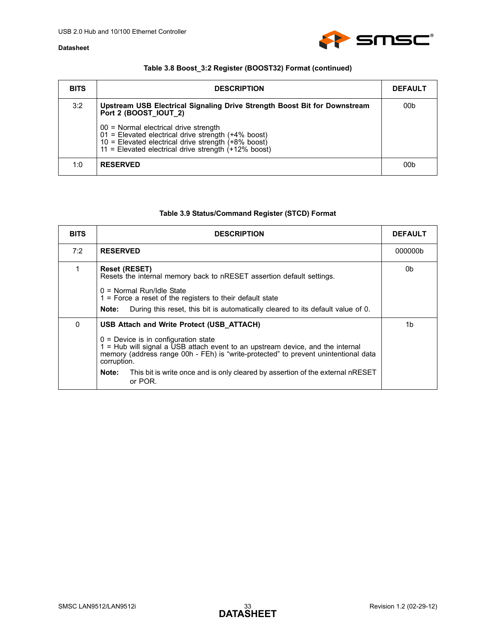

## **Table 3.8 Boost\_3:2 Register (BOOST32) Format (continued)**

| <b>BITS</b> | <b>DESCRIPTION</b>                                                                                                                                                                                                            | <b>DEFAULT</b> |
|-------------|-------------------------------------------------------------------------------------------------------------------------------------------------------------------------------------------------------------------------------|----------------|
| 3:2         | Upstream USB Electrical Signaling Drive Strength Boost Bit for Downstream<br>Port 2 (BOOST IOUT 2)                                                                                                                            | 00b            |
|             | 00 = Normal electrical drive strength<br>01 = Elevated electrical drive strength (+4% boost)<br>$10 =$ Elevated electrical drive strength $(+8\% \text{ boost})$<br>$11 =$ Elevated electrical drive strength $(+12\%$ boost) |                |
| 1:0         | <b>RESERVED</b>                                                                                                                                                                                                               | 00b            |

## **Table 3.9 Status/Command Register (STCD) Format**

<span id="page-32-0"></span>

| <b>BITS</b> | <b>DESCRIPTION</b>                                                                                                                                                                                                                                                                                                                                                                | <b>DEFAULT</b> |
|-------------|-----------------------------------------------------------------------------------------------------------------------------------------------------------------------------------------------------------------------------------------------------------------------------------------------------------------------------------------------------------------------------------|----------------|
| 7:2         | <b>RESERVED</b>                                                                                                                                                                                                                                                                                                                                                                   | 000000b        |
|             | <b>Reset (RESET)</b><br>Resets the internal memory back to nRESET assertion default settings.<br>$0 =$ Normal Run/Idle State<br>$1$ = Force a reset of the registers to their default state<br>During this reset, this bit is automatically cleared to its default value of 0.<br>Note:                                                                                           | 0b             |
| 0           | USB Attach and Write Protect (USB ATTACH)<br>$0 =$ Device is in configuration state<br>1 = Hub will signal a USB attach event to an upstream device, and the internal<br>memory (address range 00h - FEh) is "write-protected" to prevent unintentional data<br>corruption.<br>This bit is write once and is only cleared by assertion of the external nRESET<br>Note:<br>or POR. | 1b             |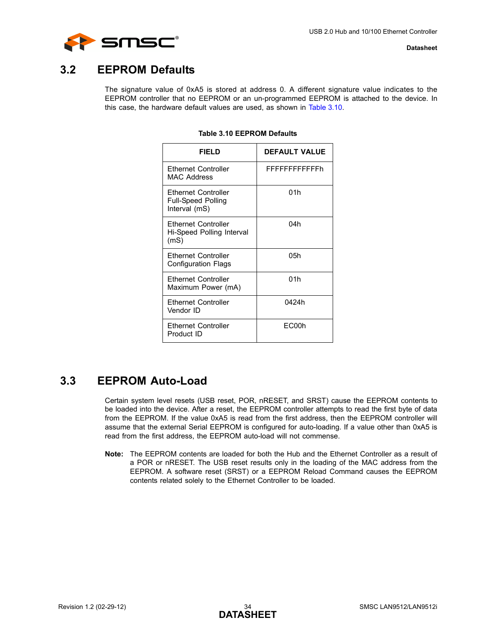

## <span id="page-33-0"></span>**3.2 EEPROM Defaults**

<span id="page-33-2"></span>The signature value of 0xA5 is stored at address 0. A different signature value indicates to the EEPROM controller that no EEPROM or an un-programmed EEPROM is attached to the device. In this case, the hardware default values are used, as shown in [Table 3.10.](#page-33-2)

| FIFI D                                                            | <b>DEFAULT VALUE</b> |
|-------------------------------------------------------------------|----------------------|
| Ethernet Controller<br>MAC Address                                | FFFFFFFFFFFFh        |
| Ethernet Controller<br><b>Full-Speed Polling</b><br>Interval (mS) | 01h                  |
| <b>Fthernet Controller</b><br>Hi-Speed Polling Interval<br>(mS)   | 04h                  |
| <b>Ethernet Controller</b><br><b>Configuration Flags</b>          | 05h                  |
| <b>Ethernet Controller</b><br>Maximum Power (mA)                  | 01h                  |
| <b>Ethernet Controller</b><br>Vendor ID                           | 0424h                |
| <b>Ethernet Controller</b><br>Product ID                          | EC00h                |

### **Table 3.10 EEPROM Defaults**

## <span id="page-33-1"></span>**3.3 EEPROM Auto-Load**

Certain system level resets (USB reset, POR, nRESET, and SRST) cause the EEPROM contents to be loaded into the device. After a reset, the EEPROM controller attempts to read the first byte of data from the EEPROM. If the value 0xA5 is read from the first address, then the EEPROM controller will assume that the external Serial EEPROM is configured for auto-loading. If a value other than 0xA5 is read from the first address, the EEPROM auto-load will not commense.

**Note:** The EEPROM contents are loaded for both the Hub and the Ethernet Controller as a result of a POR or nRESET. The USB reset results only in the loading of the MAC address from the EEPROM. A software reset (SRST) or a EEPROM Reload Command causes the EEPROM contents related solely to the Ethernet Controller to be loaded.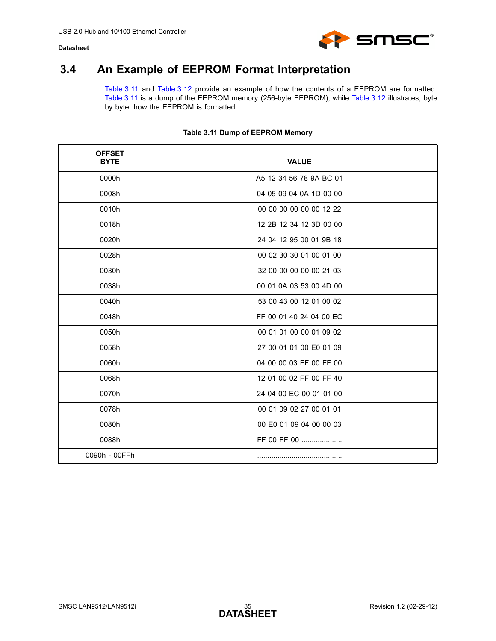

## <span id="page-34-0"></span>**3.4 An Example of EEPROM Format Interpretation**

[Table 3.11](#page-34-1) and [Table 3.12](#page-35-0) provide an example of how the contents of a EEPROM are formatted. [Table 3.11](#page-34-1) is a dump of the EEPROM memory (256-byte EEPROM), while [Table 3.12](#page-35-0) illustrates, byte by byte, how the EEPROM is formatted.

<span id="page-34-1"></span>

| <b>OFFSET</b><br><b>BYTE</b> | <b>VALUE</b>            |
|------------------------------|-------------------------|
| 0000h                        | A5 12 34 56 78 9A BC 01 |
| 0008h                        | 04 05 09 04 0A 1D 00 00 |
| 0010h                        | 00 00 00 00 00 00 12 22 |
| 0018h                        | 12 2B 12 34 12 3D 00 00 |
| 0020h                        | 24 04 12 95 00 01 9B 18 |
| 0028h                        | 00 02 30 30 01 00 01 00 |
| 0030h                        | 32 00 00 00 00 00 21 03 |
| 0038h                        | 00 01 0A 03 53 00 4D 00 |
| 0040h                        | 53 00 43 00 12 01 00 02 |
| 0048h                        | FF 00 01 40 24 04 00 EC |
| 0050h                        | 00 01 01 00 00 01 09 02 |
| 0058h                        | 27 00 01 01 00 E0 01 09 |
| 0060h                        | 04 00 00 03 FF 00 FF 00 |
| 0068h                        | 12 01 00 02 FF 00 FF 40 |
| 0070h                        | 24 04 00 EC 00 01 01 00 |
| 0078h                        | 00 01 09 02 27 00 01 01 |
| 0080h                        | 00 E0 01 09 04 00 00 03 |
| 0088h                        | FF 00 FF 00             |
| 0090h - 00FFh                |                         |

### **Table 3.11 Dump of EEPROM Memory**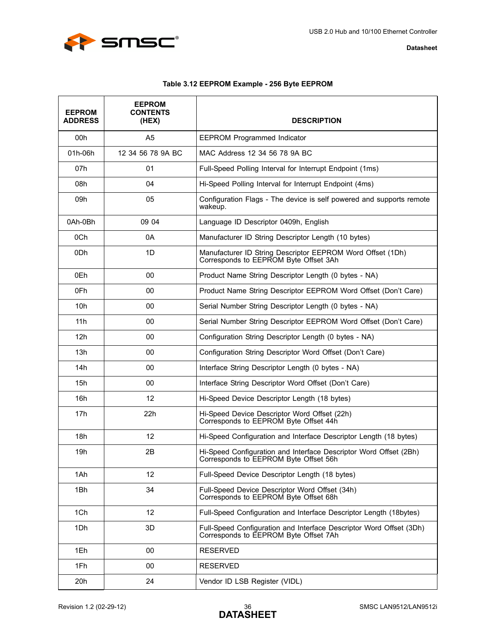



## **Table 3.12 EEPROM Example - 256 Byte EEPROM**

<span id="page-35-0"></span>

| <b>EEPROM</b><br><b>ADDRESS</b> | <b>EEPROM</b><br><b>CONTENTS</b><br>(HEX) | <b>DESCRIPTION</b>                                                                                           |
|---------------------------------|-------------------------------------------|--------------------------------------------------------------------------------------------------------------|
| 00h                             | A <sub>5</sub>                            | <b>EEPROM Programmed Indicator</b>                                                                           |
| 01h-06h                         | 12 34 56 78 9A BC                         | MAC Address 12 34 56 78 9A BC                                                                                |
| 07h                             | 01                                        | Full-Speed Polling Interval for Interrupt Endpoint (1ms)                                                     |
| 08h                             | 04                                        | Hi-Speed Polling Interval for Interrupt Endpoint (4ms)                                                       |
| 09h                             | 05                                        | Configuration Flags - The device is self powered and supports remote<br>wakeup.                              |
| 0Ah-0Bh                         | 09 04                                     | Language ID Descriptor 0409h, English                                                                        |
| 0Ch                             | 0A                                        | Manufacturer ID String Descriptor Length (10 bytes)                                                          |
| 0 <sub>Dh</sub>                 | 1D                                        | Manufacturer ID String Descriptor EEPROM Word Offset (1Dh)<br>Corresponds to EEPROM Byte Offset 3Ah          |
| 0Eh                             | 00                                        | Product Name String Descriptor Length (0 bytes - NA)                                                         |
| 0Fh                             | 00                                        | Product Name String Descriptor EEPROM Word Offset (Don't Care)                                               |
| 10 <sub>h</sub>                 | 00                                        | Serial Number String Descriptor Length (0 bytes - NA)                                                        |
| 11h                             | 00                                        | Serial Number String Descriptor EEPROM Word Offset (Don't Care)                                              |
| 12h                             | 00                                        | Configuration String Descriptor Length (0 bytes - NA)                                                        |
| 13h                             | 00                                        | Configuration String Descriptor Word Offset (Don't Care)                                                     |
| 14h                             | 00                                        | Interface String Descriptor Length (0 bytes - NA)                                                            |
| 15h                             | 00                                        | Interface String Descriptor Word Offset (Don't Care)                                                         |
| 16h                             | 12                                        | Hi-Speed Device Descriptor Length (18 bytes)                                                                 |
| 17 <sub>h</sub>                 | 22h                                       | Hi-Speed Device Descriptor Word Offset (22h)<br>Corresponds to EEPROM Byte Offset 44h                        |
| 18h                             | 12                                        | Hi-Speed Configuration and Interface Descriptor Length (18 bytes)                                            |
| 19h                             | 2B                                        | Hi-Speed Configuration and Interface Descriptor Word Offset (2Bh)<br>Corresponds to EEPROM Byte Offset 56h   |
| 1Ah                             | 12                                        | Full-Speed Device Descriptor Length (18 bytes)                                                               |
| 1Bh                             | 34                                        | Full-Speed Device Descriptor Word Offset (34h)<br>Corresponds to EEPROM Byte Offset 68h                      |
| 1Ch                             | 12                                        | Full-Speed Configuration and Interface Descriptor Length (18bytes)                                           |
| 1Dh                             | 3D                                        | Full-Speed Configuration and Interface Descriptor Word Offset (3Dh)<br>Corresponds to EEPROM Byte Offset 7Ah |
| 1Eh                             | 00                                        | <b>RESERVED</b>                                                                                              |
| 1Fh                             | 00                                        | <b>RESERVED</b>                                                                                              |
| 20h                             | 24                                        | Vendor ID LSB Register (VIDL)                                                                                |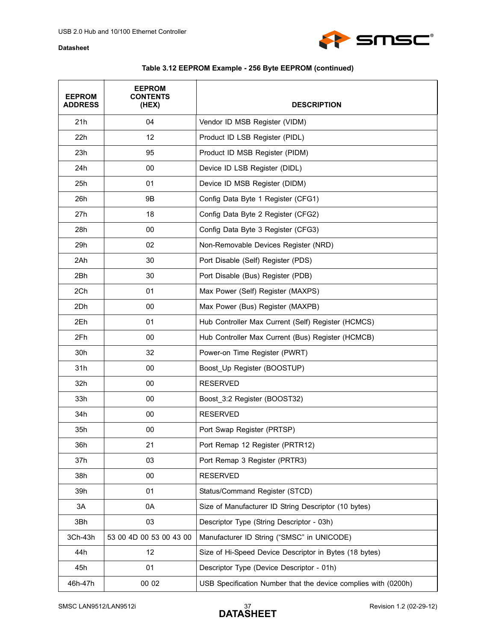

| <b>EEPROM</b><br><b>ADDRESS</b> | <b>EEPROM</b><br><b>CONTENTS</b><br>(HEX) | <b>DESCRIPTION</b>                                             |
|---------------------------------|-------------------------------------------|----------------------------------------------------------------|
| 21h                             | 04                                        | Vendor ID MSB Register (VIDM)                                  |
| 22h                             | 12                                        | Product ID LSB Register (PIDL)                                 |
| 23h                             | 95                                        | Product ID MSB Register (PIDM)                                 |
| 24h                             | 00                                        | Device ID LSB Register (DIDL)                                  |
| 25h                             | 01                                        | Device ID MSB Register (DIDM)                                  |
| 26h                             | 9B                                        | Config Data Byte 1 Register (CFG1)                             |
| 27h                             | 18                                        | Config Data Byte 2 Register (CFG2)                             |
| 28h                             | 00                                        | Config Data Byte 3 Register (CFG3)                             |
| 29h                             | 02                                        | Non-Removable Devices Register (NRD)                           |
| 2Ah                             | 30                                        | Port Disable (Self) Register (PDS)                             |
| 2Bh                             | 30                                        | Port Disable (Bus) Register (PDB)                              |
| 2Ch                             | 01                                        | Max Power (Self) Register (MAXPS)                              |
| 2Dh                             | 00                                        | Max Power (Bus) Register (MAXPB)                               |
| 2Eh                             | 01                                        | Hub Controller Max Current (Self) Register (HCMCS)             |
| 2Fh                             | 00                                        | Hub Controller Max Current (Bus) Register (HCMCB)              |
| 30h                             | 32                                        | Power-on Time Register (PWRT)                                  |
| 31h                             | 00                                        | Boost_Up Register (BOOSTUP)                                    |
| 32h                             | 00                                        | <b>RESERVED</b>                                                |
| 33h                             | 00                                        | Boost_3:2 Register (BOOST32)                                   |
| 34h                             | 00                                        | <b>RESERVED</b>                                                |
| 35h                             | 00                                        | Port Swap Register (PRTSP)                                     |
| 36h                             | 21                                        | Port Remap 12 Register (PRTR12)                                |
| 37h                             | 03                                        | Port Remap 3 Register (PRTR3)                                  |
| 38h                             | 00                                        | <b>RESERVED</b>                                                |
| 39h                             | 01                                        | Status/Command Register (STCD)                                 |
| 3A                              | 0A                                        | Size of Manufacturer ID String Descriptor (10 bytes)           |
| 3Bh                             | 03                                        | Descriptor Type (String Descriptor - 03h)                      |
| 3Ch-43h                         | 53 00 4D 00 53 00 43 00                   | Manufacturer ID String ("SMSC" in UNICODE)                     |
| 44h                             | 12                                        | Size of Hi-Speed Device Descriptor in Bytes (18 bytes)         |
| 45h                             | 01                                        | Descriptor Type (Device Descriptor - 01h)                      |
| 46h-47h                         | 00 02                                     | USB Specification Number that the device complies with (0200h) |

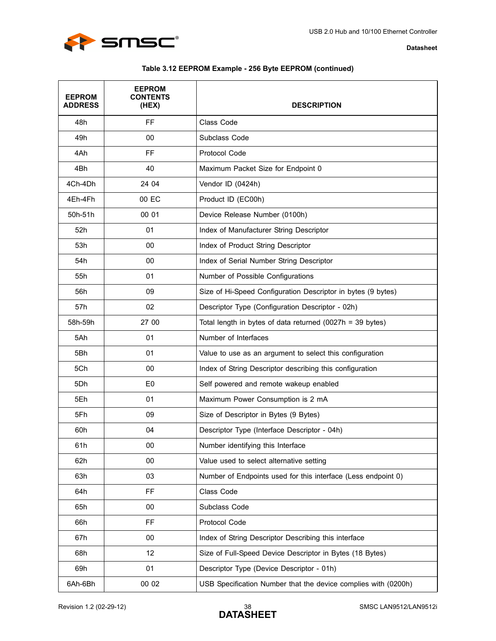

| Table 3.12 EEPROM Example - 256 Byte EEPROM (continued) |  |  |
|---------------------------------------------------------|--|--|
|---------------------------------------------------------|--|--|

| <b>EEPROM</b><br><b>ADDRESS</b> | <b>EEPROM</b><br><b>CONTENTS</b><br>(HEX) | <b>DESCRIPTION</b>                                             |
|---------------------------------|-------------------------------------------|----------------------------------------------------------------|
| 48h                             | FF                                        | Class Code                                                     |
| 49h                             | 00                                        | Subclass Code                                                  |
| 4Ah                             | <b>FF</b>                                 | Protocol Code                                                  |
| 4Bh                             | 40                                        | Maximum Packet Size for Endpoint 0                             |
| 4Ch-4Dh                         | 24 04                                     | Vendor ID (0424h)                                              |
| 4Eh-4Fh                         | 00 EC                                     | Product ID (EC00h)                                             |
| 50h-51h                         | 00 01                                     | Device Release Number (0100h)                                  |
| 52h                             | 01                                        | Index of Manufacturer String Descriptor                        |
| 53h                             | 00                                        | Index of Product String Descriptor                             |
| 54h                             | 00                                        | Index of Serial Number String Descriptor                       |
| 55h                             | 01                                        | Number of Possible Configurations                              |
| 56h                             | 09                                        | Size of Hi-Speed Configuration Descriptor in bytes (9 bytes)   |
| 57h                             | 02                                        | Descriptor Type (Configuration Descriptor - 02h)               |
| 58h-59h                         | 27 00                                     | Total length in bytes of data returned $(0027h = 39$ bytes)    |
| 5Ah                             | 01                                        | Number of Interfaces                                           |
| 5Bh                             | 01                                        | Value to use as an argument to select this configuration       |
| 5Ch                             | 00                                        | Index of String Descriptor describing this configuration       |
| 5Dh                             | E <sub>0</sub>                            | Self powered and remote wakeup enabled                         |
| 5Eh                             | 01                                        | Maximum Power Consumption is 2 mA                              |
| 5Fh                             | 09                                        | Size of Descriptor in Bytes (9 Bytes)                          |
| 60h                             | 04                                        | Descriptor Type (Interface Descriptor - 04h)                   |
| 61h                             | 00                                        | Number identifying this Interface                              |
| 62h                             | 00                                        | Value used to select alternative setting                       |
| 63h                             | 03                                        | Number of Endpoints used for this interface (Less endpoint 0)  |
| 64h                             | FF.                                       | Class Code                                                     |
| 65h                             | 00                                        | Subclass Code                                                  |
| 66h                             | <b>FF</b>                                 | Protocol Code                                                  |
| 67h                             | 00                                        | Index of String Descriptor Describing this interface           |
| 68h                             | 12                                        | Size of Full-Speed Device Descriptor in Bytes (18 Bytes)       |
| 69h                             | 01                                        | Descriptor Type (Device Descriptor - 01h)                      |
| 6Ah-6Bh                         | 00 02                                     | USB Specification Number that the device complies with (0200h) |

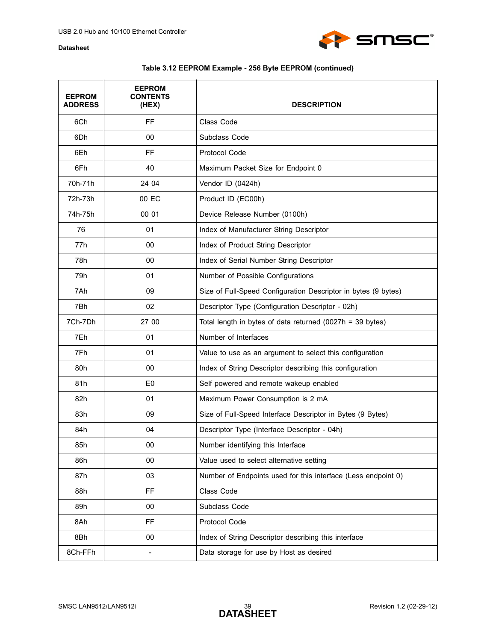

## **Table 3.12 EEPROM Example - 256 Byte EEPROM (continued)**

| <b>EEPROM</b><br><b>ADDRESS</b> | <b>EEPROM</b><br><b>CONTENTS</b><br>(HEX) | <b>DESCRIPTION</b>                                             |
|---------------------------------|-------------------------------------------|----------------------------------------------------------------|
| 6Ch                             | <b>FF</b>                                 | Class Code                                                     |
| 6Dh                             | 00                                        | Subclass Code                                                  |
| 6Eh                             | <b>FF</b>                                 | Protocol Code                                                  |
| 6Fh                             | 40                                        | Maximum Packet Size for Endpoint 0                             |
| 70h-71h                         | 24 04                                     | Vendor ID (0424h)                                              |
| 72h-73h                         | 00 EC                                     | Product ID (EC00h)                                             |
| 74h-75h                         | 00 01                                     | Device Release Number (0100h)                                  |
| 76                              | 01                                        | Index of Manufacturer String Descriptor                        |
| 77h                             | 00                                        | Index of Product String Descriptor                             |
| 78h                             | 00                                        | Index of Serial Number String Descriptor                       |
| 79h                             | 01                                        | Number of Possible Configurations                              |
| 7Ah                             | 09                                        | Size of Full-Speed Configuration Descriptor in bytes (9 bytes) |
| 7Bh                             | 02                                        | Descriptor Type (Configuration Descriptor - 02h)               |
| 7Ch-7Dh                         | 27 00                                     | Total length in bytes of data returned (0027h = 39 bytes)      |
| 7Eh                             | 01                                        | Number of Interfaces                                           |
| 7Fh                             | 01                                        | Value to use as an argument to select this configuration       |
| 80h                             | 00                                        | Index of String Descriptor describing this configuration       |
| 81h                             | E <sub>0</sub>                            | Self powered and remote wakeup enabled                         |
| 82h                             | 01                                        | Maximum Power Consumption is 2 mA                              |
| 83h                             | 09                                        | Size of Full-Speed Interface Descriptor in Bytes (9 Bytes)     |
| 84h                             | 04                                        | Descriptor Type (Interface Descriptor - 04h)                   |
| 85h                             | 00                                        | Number identifying this Interface                              |
| 86h                             | 00                                        | Value used to select alternative setting                       |
| 87h                             | 03                                        | Number of Endpoints used for this interface (Less endpoint 0)  |
| 88h                             | FF                                        | Class Code                                                     |
| 89h                             | 00                                        | Subclass Code                                                  |
| 8Ah                             | <b>FF</b>                                 | Protocol Code                                                  |
| 8Bh                             | 00                                        | Index of String Descriptor describing this interface           |
| 8Ch-FFh                         | $\overline{\phantom{0}}$                  | Data storage for use by Host as desired                        |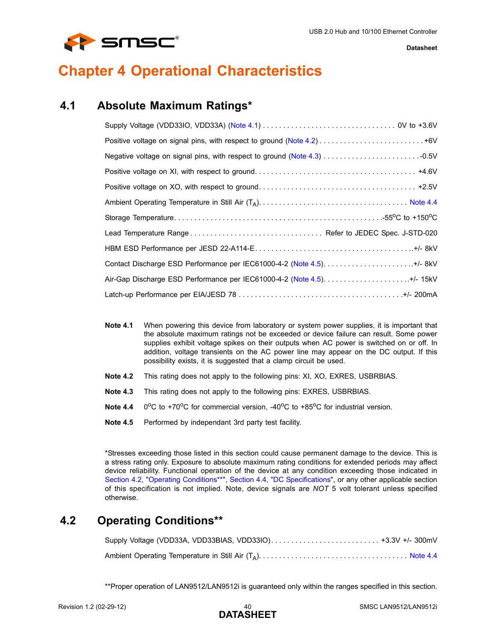

# <span id="page-39-0"></span>**Chapter 4 Operational Characteristics**

## <span id="page-39-1"></span>**4.1 Absolute Maximum Ratings\***

<span id="page-39-8"></span>

| Air-Gap Discharge ESD Performance per IEC61000-4-2 (Note 4.5)+/- 15kV |  |
|-----------------------------------------------------------------------|--|
|                                                                       |  |

- <span id="page-39-4"></span>**Note 4.1** When powering this device from laboratory or system power supplies, it is important that the absolute maximum ratings not be exceeded or device failure can result. Some power supplies exhibit voltage spikes on their outputs when AC power is switched on or off. In addition, voltage transients on the AC power line may appear on the DC output. If this possibility exists, it is suggested that a clamp circuit be used.
- <span id="page-39-5"></span>**Note 4.2** This rating does not apply to the following pins: XI, XO, EXRES, USBRBIAS.
- <span id="page-39-6"></span>**Note 4.3** This rating does not apply to the following pins: EXRES, USBRBIAS.
- <span id="page-39-7"></span>**Note 4.4**  $0^{\circ}$ C to +70 $^{\circ}$ C for commercial version, -40 $^{\circ}$ C to +85 $^{\circ}$ C for industrial version.
- <span id="page-39-3"></span>**Note 4.5** Performed by independant 3rd party test facility.

\*Stresses exceeding those listed in this section could cause permanent damage to the device. This is a stress rating only. Exposure to absolute maximum rating conditions for extended periods may affect device reliability. Functional operation of the device at any condition exceeding those indicated in [Section 4.2, "Operating Conditions\\*\\*"](#page-39-2), [Section 4.4, "DC Specifications"](#page-42-0), or any other applicable section of this specification is not implied. Note, device signals are *NOT* 5 volt tolerant unless specified otherwise.

## <span id="page-39-2"></span>**4.2 Operating Conditions\*\***

\*\*Proper operation of LAN9512/LAN9512i is guaranteed only within the ranges specified in this section.

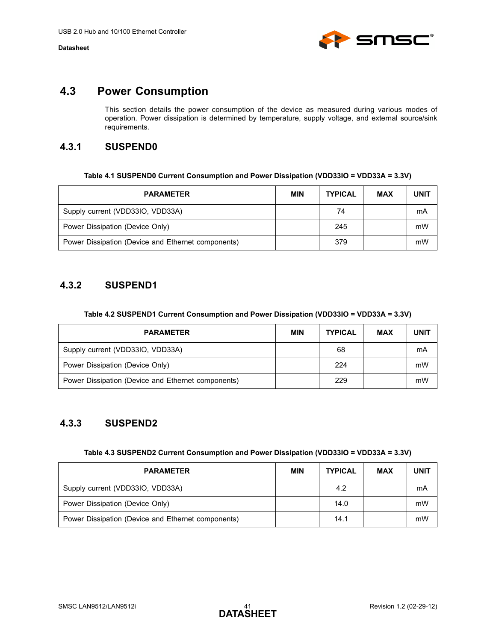

## <span id="page-40-0"></span>**4.3 Power Consumption**

<span id="page-40-7"></span>This section details the power consumption of the device as measured during various modes of operation. Power dissipation is determined by temperature, supply voltage, and external source/sink requirements.

## <span id="page-40-1"></span>**4.3.1 SUSPEND0**

| Table 4.1 SUSPEND0 Current Consumption and Power Dissipation (VDD33IO = VDD33A = 3.3V) |  |
|----------------------------------------------------------------------------------------|--|
|----------------------------------------------------------------------------------------|--|

<span id="page-40-4"></span>

| <b>PARAMETER</b>                                   | <b>MIN</b> | <b>TYPICAL</b> | <b>MAX</b> | <b>UNIT</b> |
|----------------------------------------------------|------------|----------------|------------|-------------|
| Supply current (VDD33IO, VDD33A)                   |            | 74             |            | mA          |
| Power Dissipation (Device Only)                    |            | 245            |            | mW          |
| Power Dissipation (Device and Ethernet components) |            | 379            |            | mW          |

## <span id="page-40-2"></span>**4.3.2 SUSPEND1**

#### **Table 4.2 SUSPEND1 Current Consumption and Power Dissipation (VDD33IO = VDD33A = 3.3V)**

<span id="page-40-5"></span>

| <b>PARAMETER</b>                                   | <b>MIN</b> | <b>TYPICAL</b> | <b>MAX</b> | <b>UNIT</b> |
|----------------------------------------------------|------------|----------------|------------|-------------|
| Supply current (VDD33IO, VDD33A)                   |            | 68             |            | mA          |
| Power Dissipation (Device Only)                    |            | 224            |            | mW          |
| Power Dissipation (Device and Ethernet components) |            | 229            |            | mW          |

## <span id="page-40-3"></span>**4.3.3 SUSPEND2**

| Table 4.3 SUSPEND2 Current Consumption and Power Dissipation (VDD33IO = VDD33A = 3.3V) |  |
|----------------------------------------------------------------------------------------|--|
|                                                                                        |  |

<span id="page-40-6"></span>

| <b>PARAMETER</b>                                   | <b>MIN</b> | <b>TYPICAL</b> | <b>MAX</b> | <b>UNIT</b> |
|----------------------------------------------------|------------|----------------|------------|-------------|
| Supply current (VDD33IO, VDD33A)                   |            | 4.2            |            | mA          |
| Power Dissipation (Device Only)                    |            | 14.0           |            | mW          |
| Power Dissipation (Device and Ethernet components) |            | 14.1           |            | mW          |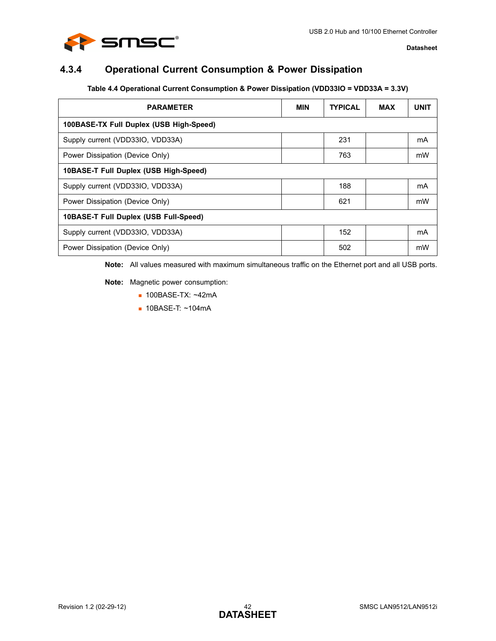

## <span id="page-41-0"></span>**4.3.4 Operational Current Consumption & Power Dissipation**

### **Table 4.4 Operational Current Consumption & Power Dissipation (VDD33IO = VDD33A = 3.3V)**

<span id="page-41-1"></span>

| <b>PARAMETER</b>                        | <b>MIN</b> | <b>TYPICAL</b> | <b>MAX</b> | <b>UNIT</b> |  |  |  |  |
|-----------------------------------------|------------|----------------|------------|-------------|--|--|--|--|
| 100BASE-TX Full Duplex (USB High-Speed) |            |                |            |             |  |  |  |  |
| Supply current (VDD33IO, VDD33A)        |            | 231            |            | mA          |  |  |  |  |
| Power Dissipation (Device Only)         |            | 763            |            | mW          |  |  |  |  |
| 10BASE-T Full Duplex (USB High-Speed)   |            |                |            |             |  |  |  |  |
| Supply current (VDD33IO, VDD33A)        |            | 188            |            | mA          |  |  |  |  |
| Power Dissipation (Device Only)         |            | 621            |            | mW          |  |  |  |  |
| 10BASE-T Full Duplex (USB Full-Speed)   |            |                |            |             |  |  |  |  |
| Supply current (VDD33IO, VDD33A)        |            | 152            |            | mA          |  |  |  |  |
| Power Dissipation (Device Only)         |            | 502            |            | mW          |  |  |  |  |

**Note:** All values measured with maximum simultaneous traffic on the Ethernet port and all USB ports.

**Note:** Magnetic power consumption:

- 100BASE-TX: ~42mA
- 10BASE-T: ~104mA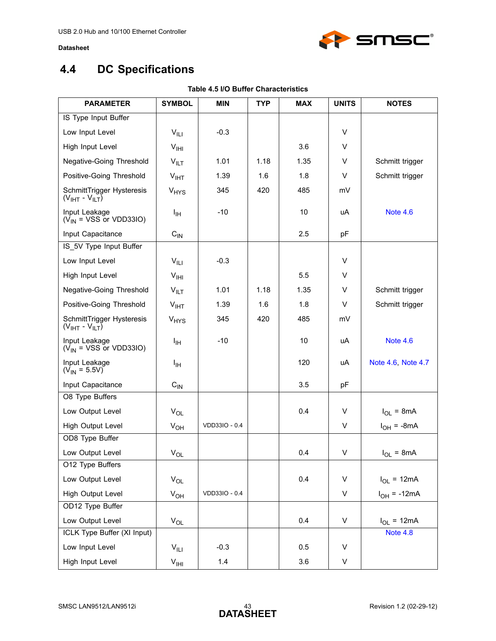

# <span id="page-42-2"></span><span id="page-42-0"></span>**4.4 DC Specifications**

<span id="page-42-1"></span>

| <b>PARAMETER</b>                                   | <b>SYMBOL</b>          | <b>MIN</b>    | <b>TYP</b> | <b>MAX</b> | <b>UNITS</b> | <b>NOTES</b>       |
|----------------------------------------------------|------------------------|---------------|------------|------------|--------------|--------------------|
| IS Type Input Buffer                               |                        |               |            |            |              |                    |
| Low Input Level                                    | $V_{\parallel$         | $-0.3$        |            |            | V            |                    |
| High Input Level                                   | V <sub>HH</sub>        |               |            | 3.6        | V            |                    |
| Negative-Going Threshold                           | $V_{\parallel\Gamma}$  | 1.01          | 1.18       | 1.35       | V            | Schmitt trigger    |
| Positive-Going Threshold                           | V <sub>IHT</sub>       | 1.39          | 1.6        | 1.8        | V            | Schmitt trigger    |
| SchmittTrigger Hysteresis<br>$(VIHT - VILT)$       | <b>V<sub>HYS</sub></b> | 345           | 420        | 485        | mV           |                    |
| Input Leakage<br>$(\dot{V}_{IN}$ = VSS or VDD33IO) | ŀщ                     | $-10$         |            | 10         | uA           | <b>Note 4.6</b>    |
| Input Capacitance                                  | $C_{IN}$               |               |            | 2.5        | pF           |                    |
| IS_5V Type Input Buffer                            |                        |               |            |            |              |                    |
| Low Input Level                                    | $V_{\parallel L}$      | $-0.3$        |            |            | $\vee$       |                    |
| High Input Level                                   | V <sub>HH</sub>        |               |            | 5.5        | V            |                    |
| Negative-Going Threshold                           | $V_{\text{ILT}}$       | 1.01          | 1.18       | 1.35       | V            | Schmitt trigger    |
| Positive-Going Threshold                           | $V_{IHT}$              | 1.39          | 1.6        | 1.8        | V            | Schmitt trigger    |
| SchmittTrigger Hysteresis<br>$(VIHT - VILT)$       | <b>V<sub>HYS</sub></b> | 345           | 420        | 485        | mV           |                    |
| Input Leakage<br>$(\dot{V}_{IN}$ = VSS or VDD33IO) | I <sub>IH</sub>        | $-10$         |            | 10         | uA           | <b>Note 4.6</b>    |
| Input Leakage<br>$(V_{IN} = 5.5V)$                 | ŀщ                     |               |            | 120        | uA           | Note 4.6, Note 4.7 |
| Input Capacitance                                  | $C_{IN}$               |               |            | 3.5        | pF           |                    |
| O8 Type Buffers                                    |                        |               |            |            |              |                    |
| Low Output Level                                   | $V_{OL}$               |               |            | 0.4        | V            | $I_{OL}$ = 8mA     |
| High Output Level                                  | $V_{OH}$               | VDD33IO - 0.4 |            |            | V            | $I_{OH}$ = -8mA    |
| OD8 Type Buffer                                    |                        |               |            |            |              |                    |
| Low Output Level                                   | $V_{OL}$               |               |            | 0.4        | V            | $I_{OL}$ = 8mA     |
| O12 Type Buffers                                   |                        |               |            |            |              |                    |
| Low Output Level                                   | $V_{OL}$               |               |            | 0.4        | V            | $I_{OL}$ = 12mA    |
| High Output Level                                  | $V_{OH}$               | VDD33IO - 0.4 |            |            | V            | $I_{OH}$ = -12mA   |
| OD12 Type Buffer                                   |                        |               |            |            |              |                    |
| Low Output Level                                   | $V_{OL}$               |               |            | 0.4        | V            | $I_{OL}$ = 12mA    |
| ICLK Type Buffer (XI Input)                        |                        |               |            |            |              | Note 4.8           |
| Low Input Level                                    | $V_{\parallel L1}$     | $-0.3$        |            | 0.5        | V            |                    |
| High Input Level                                   | $V_{\text{IHI}}$       | 1.4           |            | 3.6        | V            |                    |

### **Table 4.5 I/O Buffer Characteristics**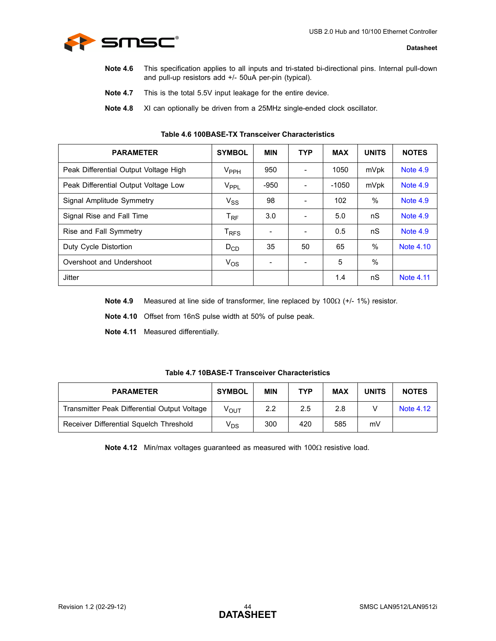<span id="page-43-2"></span>

- Note 4.6 This specification applies to all inputs and tri-stated bi-directional pins. Internal pull-down and pull-up resistors add +/- 50uA per-pin (typical).
- <span id="page-43-4"></span>**Note 4.7** This is the total 5.5V input leakage for the entire device.
- **Note 4.8** XI can optionally be driven from a 25MHz single-ended clock oscillator.

<span id="page-43-3"></span><span id="page-43-0"></span>

| <b>PARAMETER</b>                      | <b>SYMBOL</b>               | <b>MIN</b> | <b>TYP</b>                   | <b>MAX</b> | <b>UNITS</b>  | <b>NOTES</b>     |
|---------------------------------------|-----------------------------|------------|------------------------------|------------|---------------|------------------|
| Peak Differential Output Voltage High | $V_{\rm PPH}$               | 950        | $\blacksquare$               | 1050       | mVpk          | Note 4.9         |
| Peak Differential Output Voltage Low  | V <sub>PPL</sub>            | -950       | $\overline{\phantom{a}}$     | $-1050$    | mVpk          | Note 4.9         |
| Signal Amplitude Symmetry             | $V_{SS}$                    | 98         | $\qquad \qquad \blacksquare$ | 102        | %             | <b>Note 4.9</b>  |
| Signal Rise and Fall Time             | $T_{\text{RF}}$             | 3.0        | $\overline{\phantom{a}}$     | 5.0        | nS            | Note 4.9         |
| Rise and Fall Symmetry                | $\mathsf{T}_{\mathsf{RFS}}$ |            | $\qquad \qquad \blacksquare$ | 0.5        | nS            | Note 4.9         |
| Duty Cycle Distortion                 | $D_{CD}$                    | 35         | 50                           | 65         | $\frac{0}{0}$ | Note 4.10        |
| Overshoot and Undershoot              | $V_{OS}$                    |            | $\overline{\phantom{a}}$     | 5          | $\frac{0}{0}$ |                  |
| <b>Jitter</b>                         |                             |            |                              | 1.4        | nS            | <b>Note 4.11</b> |

#### **Table 4.6 100BASE-TX Transceiver Characteristics**

<span id="page-43-5"></span>**Note 4.9** Measured at line side of transformer, line replaced by 100Ω (+/- 1%) resistor.

<span id="page-43-6"></span>**Note 4.10** Offset from 16nS pulse width at 50% of pulse peak.

<span id="page-43-7"></span>**Note 4.11** Measured differentially.

#### **Table 4.7 10BASE-T Transceiver Characteristics**

<span id="page-43-1"></span>

| <b>PARAMETER</b>                             | <b>SYMBOL</b>    | <b>MIN</b> | <b>TYP</b> | <b>MAX</b> | <b>UNITS</b> | <b>NOTES</b> |
|----------------------------------------------|------------------|------------|------------|------------|--------------|--------------|
| Transmitter Peak Differential Output Voltage | $V_{\text{OUT}}$ | 2.2        | 2.5        | 2.8        |              | Note 4.12    |
| Receiver Differential Squelch Threshold      | V <sub>DS</sub>  | 300        | 420        | 585        | mV           |              |

<span id="page-43-8"></span>**Note 4.12** Min/max voltages guaranteed as measured with 100Ω resistive load.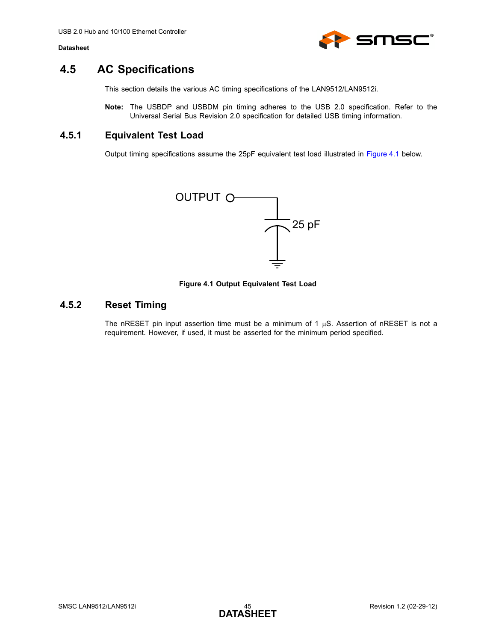

## <span id="page-44-0"></span>**4.5 AC Specifications**

This section details the various AC timing specifications of the LAN9512/LAN9512i.

**Note:** The USBDP and USBDM pin timing adheres to the USB 2.0 specification. Refer to the Universal Serial Bus Revision 2.0 specification for detailed USB timing information.

## <span id="page-44-1"></span>**4.5.1 Equivalent Test Load**

Output timing specifications assume the 25pF equivalent test load illustrated in [Figure 4.1](#page-44-3) below.



**Figure 4.1 Output Equivalent Test Load**

## <span id="page-44-3"></span><span id="page-44-2"></span>**4.5.2 Reset Timing**

The nRESET pin input assertion time must be a minimum of 1  $\mu$ S. Assertion of nRESET is not a requirement. However, if used, it must be asserted for the minimum period specified.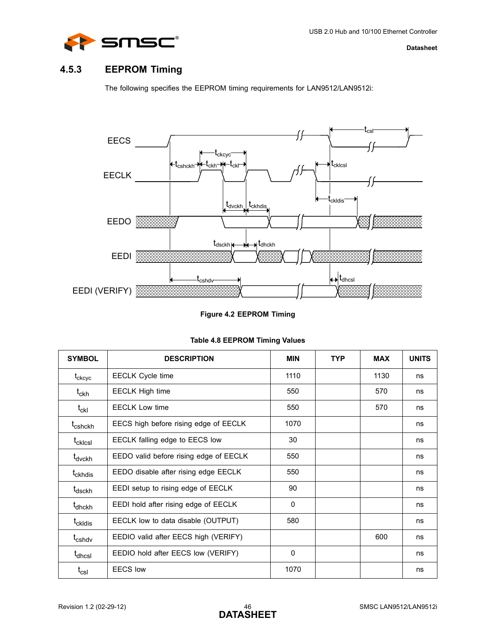

## <span id="page-45-0"></span>**4.5.3 EEPROM Timing**

The following specifies the EEPROM timing requirements for LAN9512/LAN9512i:



### **Figure 4.2 EEPROM Timing**

<span id="page-45-2"></span><span id="page-45-1"></span>

| <b>SYMBOL</b>                   | <b>DESCRIPTION</b>                     | <b>MIN</b> | <b>TYP</b> | <b>MAX</b> | <b>UNITS</b> |
|---------------------------------|----------------------------------------|------------|------------|------------|--------------|
| $\mathfrak{t}_{\mathrm{ckcyc}}$ | <b>EECLK Cycle time</b>                | 1110       |            | 1130       | ns           |
| $t_{\sf ckh}$                   | <b>EECLK High time</b>                 | 550        |            | 570        | ns           |
| $\mathfrak{t}_{\rm ckl}$        | <b>EECLK Low time</b>                  | 550        |            | 570        | ns           |
| t <sub>cshckh</sub>             | EECS high before rising edge of EECLK  | 1070       |            |            | ns           |
| t <sub>cklcsl</sub>             | EECLK falling edge to EECS low         | 30         |            |            | ns           |
| t <sub>dvckh</sub>              | EEDO valid before rising edge of EECLK | 550        |            |            | ns           |
| t <sub>ckhdis</sub>             | EEDO disable after rising edge EECLK   | 550        |            |            | ns           |
| t <sub>dsckh</sub>              | EEDI setup to rising edge of EECLK     | 90         |            |            | ns           |
| t <sub>dhckh</sub>              | EEDI hold after rising edge of EECLK   | $\Omega$   |            |            | ns           |
| t <sub>ckldis</sub>             | EECLK low to data disable (OUTPUT)     | 580        |            |            | ns           |
| t <sub>cshdv</sub>              | EEDIO valid after EECS high (VERIFY)   |            |            | 600        | ns           |
| t <sub>dhcsl</sub>              | EEDIO hold after EECS low (VERIFY)     | 0          |            |            | ns           |
| $t_{\rm csl}$                   | <b>EECS</b> low                        | 1070       |            |            | ns           |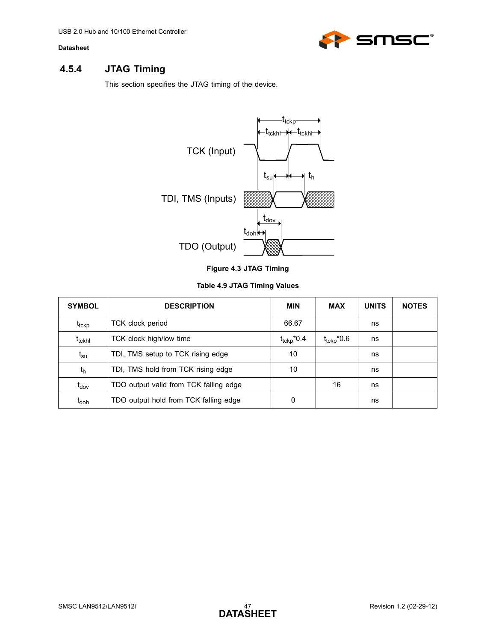

## <span id="page-46-0"></span>**4.5.4 JTAG Timing**

<span id="page-46-3"></span>This section specifies the JTAG timing of the device.



### **Table 4.9 JTAG Timing Values**

<span id="page-46-2"></span><span id="page-46-1"></span>

| <b>SYMBOL</b>      | <b>DESCRIPTION</b>                     | MIN                    | <b>MAX</b>             | <b>UNITS</b> | <b>NOTES</b> |
|--------------------|----------------------------------------|------------------------|------------------------|--------------|--------------|
| t <sub>tckp</sub>  | TCK clock period                       | 66.67                  |                        | ns           |              |
| t <sub>tckhl</sub> | TCK clock high/low time                | $t_{\text{tckp}}$ *0.4 | $t_{\text{tckp}}$ *0.6 | ns           |              |
| $t_{\rm su}$       | TDI, TMS setup to TCK rising edge      | 10                     |                        | ns           |              |
| $t_{h}$            | TDI, TMS hold from TCK rising edge     | 10                     |                        | ns           |              |
| $t_{\text{dov}}$   | TDO output valid from TCK falling edge |                        | 16                     | ns           |              |
| t <sub>doh</sub>   | TDO output hold from TCK falling edge  | 0                      |                        | ns           |              |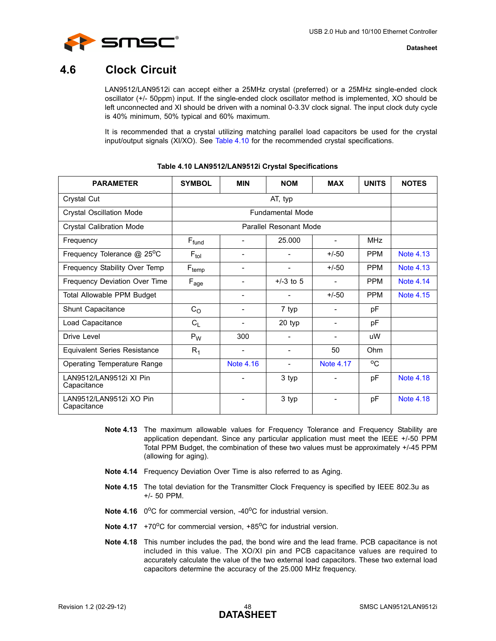

## <span id="page-47-0"></span>**4.6 Clock Circuit**

LAN9512/LAN9512i can accept either a 25MHz crystal (preferred) or a 25MHz single-ended clock oscillator (+/- 50ppm) input. If the single-ended clock oscillator method is implemented, XO should be left unconnected and XI should be driven with a nominal 0-3.3V clock signal. The input clock duty cycle is 40% minimum, 50% typical and 60% maximum.

It is recommended that a crystal utilizing matching parallel load capacitors be used for the crystal input/output signals (XI/XO). See [Table 4.10](#page-47-1) for the recommended crystal specifications.

<span id="page-47-1"></span>

| <b>PARAMETER</b>                       | <b>SYMBOL</b>          | <b>MIN</b>                   | <b>NOM</b>               | <b>MAX</b>                   | <b>UNITS</b> | <b>NOTES</b>     |
|----------------------------------------|------------------------|------------------------------|--------------------------|------------------------------|--------------|------------------|
| Crystal Cut                            |                        |                              | AT, typ                  |                              |              |                  |
| <b>Crystal Oscillation Mode</b>        |                        |                              | <b>Fundamental Mode</b>  |                              |              |                  |
| <b>Crystal Calibration Mode</b>        | Parallel Resonant Mode |                              |                          |                              |              |                  |
| Frequency                              | $F_{fund}$             |                              | 25.000                   | $\overline{\phantom{a}}$     | <b>MHz</b>   |                  |
| Frequency Tolerance @ 25°C             | $F_{tol}$              | -                            | -                        | $+/-50$                      | <b>PPM</b>   | <b>Note 4.13</b> |
| Frequency Stability Over Temp          | $F_{temp}$             | $\qquad \qquad \blacksquare$ | $\overline{\phantom{0}}$ | $+/-50$                      | <b>PPM</b>   | <b>Note 4.13</b> |
| Frequency Deviation Over Time          | $F_{age}$              | $\overline{\phantom{0}}$     | $+/-3$ to 5              | $\blacksquare$               | <b>PPM</b>   | <b>Note 4.14</b> |
| Total Allowable PPM Budget             |                        |                              |                          | $+/-50$                      | <b>PPM</b>   | <b>Note 4.15</b> |
| Shunt Capacitance                      | $C_{\rm O}$            | -                            | 7 typ                    | $\qquad \qquad \blacksquare$ | pF           |                  |
| Load Capacitance                       | $C_{L}$                |                              | 20 typ                   | $\qquad \qquad \blacksquare$ | рF           |                  |
| Drive Level                            | $P_W$                  | 300                          | ۳                        | $\overline{\phantom{a}}$     | uW           |                  |
| <b>Equivalent Series Resistance</b>    | $R_1$                  | $\qquad \qquad \blacksquare$ | $\overline{\phantom{0}}$ | 50                           | Ohm          |                  |
| Operating Temperature Range            |                        | Note 4.16                    | $\overline{\phantom{0}}$ | <b>Note 4.17</b>             | $^{\circ}$ C |                  |
| LAN9512/LAN9512i XI Pin<br>Capacitance |                        |                              | 3 typ                    |                              | pF           | <b>Note 4.18</b> |
| LAN9512/LAN9512i XO Pin<br>Capacitance |                        | $\qquad \qquad \blacksquare$ | 3 typ                    | $\qquad \qquad \blacksquare$ | pF           | Note 4.18        |

#### **Table 4.10 LAN9512/LAN9512i Crystal Specifications**

- <span id="page-47-2"></span>**Note 4.13** The maximum allowable values for Frequency Tolerance and Frequency Stability are application dependant. Since any particular application must meet the IEEE +/-50 PPM Total PPM Budget, the combination of these two values must be approximately +/-45 PPM (allowing for aging).
- <span id="page-47-3"></span>**Note 4.14** Frequency Deviation Over Time is also referred to as Aging.
- <span id="page-47-4"></span>**Note 4.15** The total deviation for the Transmitter Clock Frequency is specified by IEEE 802.3u as +/- 50 PPM.
- <span id="page-47-5"></span>**Note 4.16** 0<sup>o</sup>C for commercial version, -40<sup>o</sup>C for industrial version.
- <span id="page-47-7"></span>**Note 4.17** +70 $^{\circ}$ C for commercial version, +85 $^{\circ}$ C for industrial version.
- <span id="page-47-6"></span>**Note 4.18** This number includes the pad, the bond wire and the lead frame. PCB capacitance is not included in this value. The XO/XI pin and PCB capacitance values are required to accurately calculate the value of the two external load capacitors. These two external load capacitors determine the accuracy of the 25.000 MHz frequency.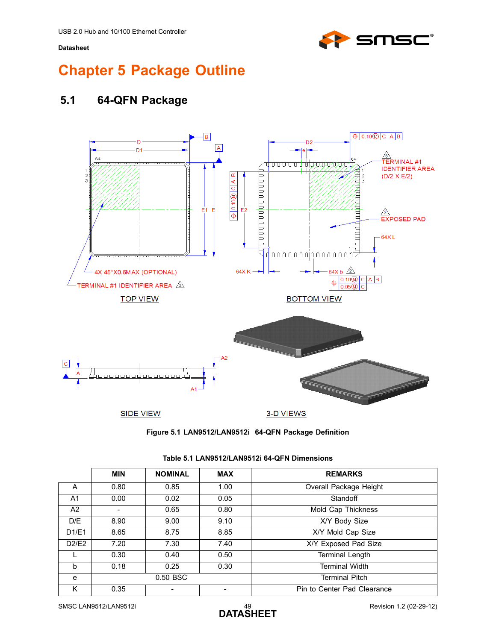

# <span id="page-48-0"></span>**Chapter 5 Package Outline**

## <span id="page-48-1"></span>**5.1 64-QFN Package**





<span id="page-48-3"></span><span id="page-48-2"></span>

|                | <b>MIN</b> | <b>NOMINAL</b> | <b>MAX</b> | <b>REMARKS</b>              |
|----------------|------------|----------------|------------|-----------------------------|
| A              | 0.80       | 0.85           | 1.00       | Overall Package Height      |
| A <sub>1</sub> | 0.00       | 0.02           | 0.05       | Standoff                    |
| A2             |            | 0.65           | 0.80       | Mold Cap Thickness          |
| D/E            | 8.90       | 9.00           | 9.10       | X/Y Body Size               |
| D1/E1          | 8.65       | 8.75           | 8.85       | X/Y Mold Cap Size           |
| D2/E2          | 7.20       | 7.30           | 7.40       | X/Y Exposed Pad Size        |
|                | 0.30       | 0.40           | 0.50       | <b>Terminal Length</b>      |
| h              | 0.18       | 0.25           | 0.30       | <b>Terminal Width</b>       |
| e              |            | 0.50 BSC       |            | <b>Terminal Pitch</b>       |
| ĸ              | 0.35       |                |            | Pin to Center Pad Clearance |

#### **Table 5.1 LAN9512/LAN9512i 64-QFN Dimensions**

SMSC LAN9512/LAN9512i 49 Revision 1.2 (02-29-12)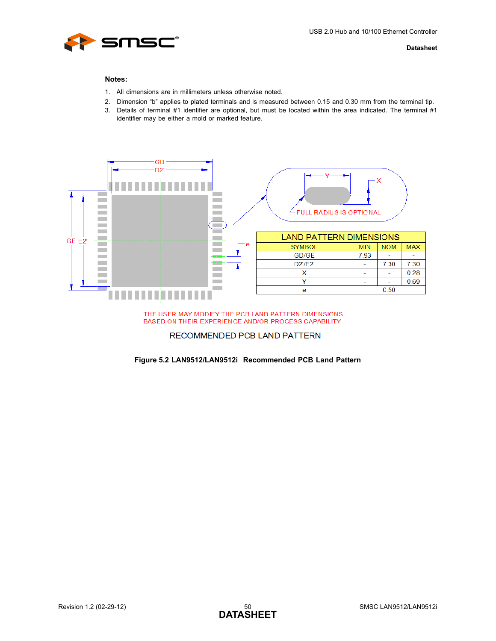

#### **Notes:**

- 1. All dimensions are in millimeters unless otherwise noted.
- 2. Dimension "b" applies to plated terminals and is measured between 0.15 and 0.30 mm from the terminal tip.
- 3. Details of terminal #1 identifier are optional, but must be located within the area indicated. The terminal #1 identifier may be either a mold or marked feature.



#### THE USER MAY MODIFY THE PCB LAND PATTERN DIMENSIONS BASED ON THEIR EXPERIENCE AND/OR PROCESS CAPABILITY

#### RECOMMENDED PCB LAND PATTERN

#### <span id="page-49-0"></span>**Figure 5.2 LAN9512/LAN9512i Recommended PCB Land Pattern**